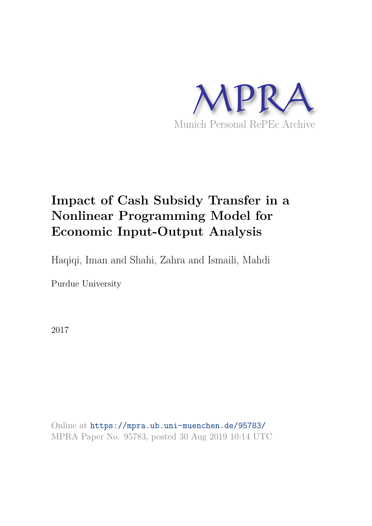

# **Impact of Cash Subsidy Transfer in a Nonlinear Programming Model for Economic Input-Output Analysis**

Haqiqi, Iman and Shahi, Zahra and Ismaili, Mahdi

Purdue University

2017

Online at https://mpra.ub.uni-muenchen.de/95783/ MPRA Paper No. 95783, posted 30 Aug 2019 10:14 UTC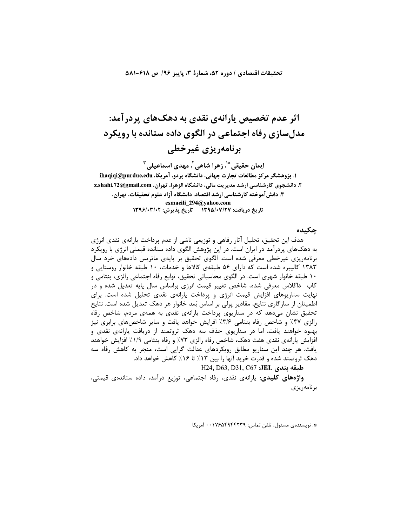#### تحقيقات اقتصادي / دوره ۵۲، شمارة ۳، پاييز ۹۶/ ص ۶۱۸-۸۸۱

# اثر عدم تخصیص پارانهی نقدی به دهکهای پردر آمد: مدلسازی رفاه اجتماعی در الگوی داده ستانده با رویکرد برنامەريزى غيرخطى

ايمان حقيقي ٌ ْ، زهرا شاهي َ، مهدي اسماعيلي <sup>٣</sup> ۱. پژوهشگر مرکز مطالعات تجارت جهانی، دانشگاه پردو، آمریکا، ihaqiqi@purdue.edu ۲. دانشجوی کارشناسی ارشد مدیریت مالی، دانشگاه الزهرا، تهران، z.shahi.72@gmail.com ۳. دانش آموخته کارشناسی ارشد اقتصاد، دانشگاه آزاد علوم تحقیقات، تهران، esmaeili\_294@yahoo.com تاریخ دریافت: ۱۳۹۵/۰۷/۲۷ تاریخ پذیرش: ۱۳۹۶/۰۳/۰۲

## چکیده

هدف این تحقیق، تحلیل آثار رفاهی و توزیعی ناشی از عدم پرداخت پارانهی نقدی انرژی به دهکـهای پردرآمد در ایران است. در این پژوهش الگوی داده ستانده قیمتی انرژی با رویکرد برنامەریزی غیرخطی معرفی شده است. الگوی تحقیق بر پایەی ماتریس دادەھای خرد سال ۱۳۸۳ کالیبره شده است که دارای ۵۶ طبقهی کالاها و خدمات، ۱۰ طبقه خانوار روستایی و ۱۰ طبقه خانوار شهری است. در الگوی محاسباتی تحقیق، توابع رفاه اجتماعی رالزی، بنتامی و کاب- داگلاس معرفی شده، شاخص تغییر قیمت انرژی براساس سال پایه تعدیل شده و در نهایت سناریوهای افزایش قیمت انرژی و پرداخت پارانهی نقدی تحلیل شده است. برای اطمینان از سازگاری نتایج، مقادیر پولی بر اساس بُعد خانوار هر دهک تعدیل شده است. نتایج تحقیق نشان میدهد که در سناریوی پرداخت پارانهی نقدی به همهی مردم، شاخص رفاه رالزی ۴۷٪ و شاخص رفاه بنتامی ۳/۶٪ افرایش خواهد یافت و سایر شاخصهای برابری نیز بهبود خواهند یافت، اما در سناریوی حذف سه دهک ثروتمند از دریافت پارانهی نقدی و افزایش پارانهی نقدی هفت دهک، شاخص رفاه رالزی ۷۳٪ و رفاه بنتامی ۱/۹٪ افزایش خواهند یافت. هر چند این سناریو مطابق رویکردهای عدالت گرایی است، منجر به کاهش رفاه سه دهک ثروتمند شده و قدرت خرید آنها را بین ۱۳٪ تا ۱۶٪ کاهش خواهد داد.

H24, D63, D31, C67 :JEL طبقه بندى

**واژەهای کلیدی**: پارانەی نقدی، رفاه اجتماعی، توزیع درآمد، داده ستاندەی قیمتی، برنامەريزى

\*. نویسندهی مسئول، تلفن تماس: ۰۰۱۷۶۵۴۹۴۲۳۹ آمریکا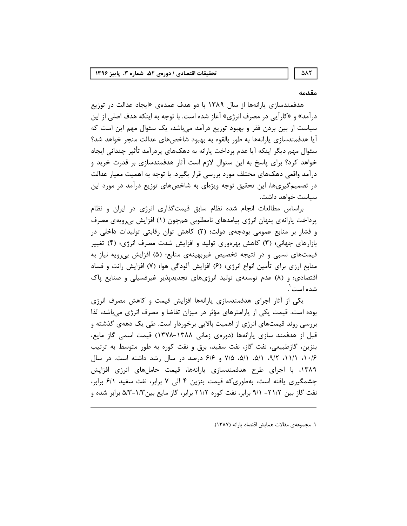#### مقدمه

هدفمندسازی پارانهها از سال ۱۳۸۹ با دو هدف عمدهی «ایجاد عدالت در توزیع درآمد» و «کارآیی در مصرف انرژی» آغاز شده است. با توجه به اینکه هدف اصلی از این سیاست از بین بردن فقر و بهبود توزیع درآمد میباشد، یک سئوال مهم این است که آیا هدفمندسازی پارانهها به طور بالقوه به بهبود شاخصهای عدالت منجر خواهد شد؟ سئوال مهم دیگر اینکه آیا عدم پرداخت پارانه به دهکـهای پردرآمد تأثیر چندانی ایجاد خواهد کرد؟ برای پاسخ به این سئوال لازم است آثار هدفمندسازی بر قدرت خرید و درآمد واقعی دهکـهای مختلف مورد بررسی قرار بگیرد. با توجه به اهمیت معیار عدالت در تصمیم گیریها، این تحقیق توجه ویژهای به شاخصهای توزیع درآمد در مورد این سياست خواهد داشت.

براساس مطالعات انجام شده نظام سابق قیمتگذاری انرژی در ایران و نظام پرداخت یارانهی پنهان انرژی پیامدهای نامطلوبی همچون (۱) افزایش بیرویهی مصرف و فشار بر منابع عمومی بودجهی دولت؛ (٢) کاهش توان رقابتی تولیدات داخلی در بازارهای جهانی؛ (۳) کاهش بهرهوری تولید و افزایش شدت مصرف انرژی؛ (۴) تغییر قیمتهای نسبی و در نتیجه تخصیص غیربهینهی منابع؛ (۵) افزایش بیرویه نیاز به منابع ارزی برای تأمین انواع انرژی؛ (۶) افزایش آلودگی هوا؛ (۷) افزایش رانت و فساد اقتصادی؛ و (۸) عدم توسعهی تولید انرژیهای تجدیدیذیر غیرفسیلی و صنایع پاک شده است ٰ.

یکی از آثار اجرای هدفمندسازی پارانهها افزایش قیمت و کاهش مصرف انرژی بوده است. قیمت یکی از پارامترهای مؤثر در میزان تقاضا و مصرف انرژی میباشد، لذا بررسی روند قیمتهای انرژی از اهمیت بالایی برخوردار است. طی یک دههی گذشته و قبل از هدفمند سازی پارانهها (دورهی زمانی ۱۳۸۸–۱۳۷۸) قیمت اسمی گاز مایع، بنزین، گازطبیعی، نفت گاز، نفت سفید، برق و نفت کوره به طور متوسط به ترتیب ۰۱۶/۶ ۰۹/۲، ۹/۲، ۵/۱، ۵/۱، ۵/۸، ۷/۵ و ۶/۶ درصد در سال رشد داشته است. در سال ۱۳۸۹، با اجرای طرح هدفمندسازی پارانهها، قیمت حاملهای انرژی افزایش چشمگیری یافته است، بهطوری که قیمت بنزین ۴ الی ۷ برابر، نفت سفید ۶/۱ برابر، نفت گاز بین ۲۱/۲– ۹/۱ برابر، نفت کوره ۲۱/۲ برابر، گاز مایع بین۱/۳–۵/۳ برابر شده و

١. مجموعهى مقالات همايش اقتصاد يارانه (١٣٨٧).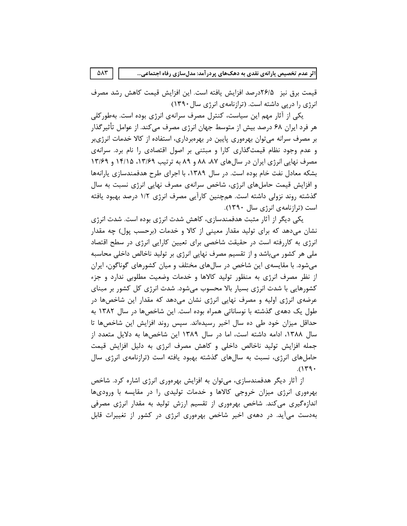قيمت برق نيز 16/درصد افزايش يافته است. اين افزايش قيمت كاهش رشد مصرف انرژی را دریے داشته است. (ترازنامهی انرژی سال ۱۳۹۰)

یکی از آثار مهم این سیاست، کنترل مصرف سرانهی انرژی بوده است. بهطورکلی هر فرد ایران ۶۸ درصد بیش از متوسط جهان انرژی مصرف می کند. از عوامل تأثیر گذار بر مصرف سرانه می توان بهرهوری پایین در بهرهبرداری، استفاده از کالا خدمات انرژیبر و عدم وجود نظام قیمتگذاری کارا و مبتنی بر اصول اقتصادی را نام برد. سرانهی مصرف نهایی انرژی ایران در سالهای ۸۷، ۸۸ و ۸۹ به ترتیب ۱۳/۶۹، ۱۴/۱۵ و ۱۳/۶۹ بشکه معادل نفت خام بوده است. در سال ۱۳۸۹، با اجرای طرح هدفمندسازی پارانهها و افزایش قیمت حاملهای انرژی، شاخص سرانهی مصرف نهایی انرژی نسبت به سال گذشته روند نزولی داشته است. همچنین کارآیی مصرف انرژی ۱/۲ درصد بهبود یافته است (ترازنامهی انرژی سال ۱۳۹۰).

یکی دیگر از آثار مثبت هدفمندسازی، کاهش شدت انرژی بوده است. شدت انرژی نشان میدهد که برای تولید مقدار معینی از کالا و خدمات (برحسب پول) چه مقدار انرژی به کاررفته است در حقیقت شاخصی برای تعیین کارایی انرژی در سطح اقتصاد ملی هر کشور میباشد و از تقسیم مصرف نهایی انرژی بر تولید ناخالص داخلی محاسبه میشود. با مقایسهی این شاخص در سالهای مختلف و میان کشورهای گوناگون، ایران از نظر مصرف انرژی به منظور تولید کالاها و خدمات وضعیت مطلوبی ندارد و جزء کشورهایی با شدت انرژی بسیار بالا محسوب میشود. شدت انرژی کل کشور بر مبنای عرضهی انرژی اولیه و مصرف نهایی انرژی نشان میدهد که مقدار این شاخصها در طول یک دههی گذشته با نوساناتی همراه بوده است. این شاخصها در سال ۱۳۸۲ به حداقل میزان خود طی ده سال اخیر رسیدهاند. سپس روند افزایش این شاخصها تا سال ۱۳۸۸، ادامه داشته است، اما در سال ۱۳۸۹ این شاخصها به دلایل متعدد از جمله افزایش تولید ناخالص داخلی و کاهش مصرف انرژی به دلیل افزایش قیمت حاملهای انرژی، نسبت به سالهای گذشته بهبود یافته است (ترازنامهی انرژی سال  $.$ (۱۳۹۰)

از اثار دیگر هدفمندسازی، میتوان به افزایش بهرهوری انرژی اشاره کرد. شاخص بهرهوری انرژی میزان خروجی کالاها و خدمات تولیدی را در مقایسه با ورودیها اندازهگیری میکند. شاخص بهرهوری از تقسیم ارزش تولید به مقدار انرژی مصرفی بهدست می آید. در دههی اخیر شاخص بهرهوری انرژی در کشور از تغییرات قابل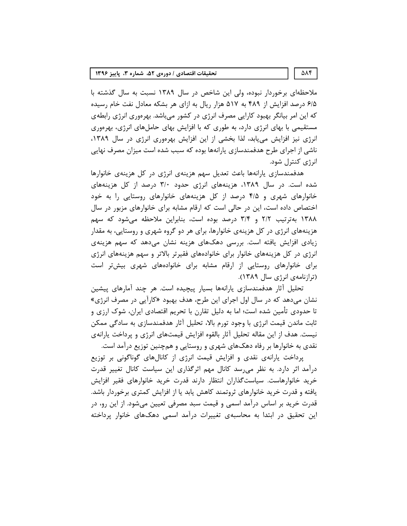#### تحقیقات اقتصادی / دورهی ۵۲، شماره ۳، پاییز ۱۳۹۶

ملاحظهای برخوردار نبوده، ولی این شاخص در سال ۱۳۸۹ نسبت به سال گذشته با ۶/۵ درصد افزایش از ۴۸۹ به ۵۱۷ هزار ریال به ازای هر بشکه معادل نفت خام رسیده که این امر بیانگر بهبود کارایی مصرف انرژی در کشور میباشد. بهرەوری انرژی رابطهی مستقیمی با بهای انرژی دارد، به طوری که با افزایش بهای حاملهای انرژی، بهرهوری انرژی نیز افزایش می یابد، لذا بخشی از این افزایش بهرموری انرژی در سال ۱۳۸۹، ناشی از اجرای طرح هدفمندسازی پارانهها بوده که سبب شده است میزان مصرف نهایی انرژی کنترل شود.

هدفمندسازی پارانهها باعث تعدیل سهم هزینهی انرژی در کل هزینهی خانوارها شده است. در سال ۱۳۸۹، هزینههای انرژی حدود ۳/۰ درصد از کل هزینههای خانوارهای شهری و ۴/۵ درصد از کل هزینههای خانوارهای روستایی را به خود اختصاص داده است، این در حالی است که ارقام مشابه برای خانوارهای مزبور در سال ۱۳۸۸ بهترتیب ۲/۲ و ۳/۴ درصد بوده است، بنابراین ملاحظه می شود که سهم هزینههای انرژی در کل هزینهی خانوارها، برای هر دو گروه شهری و روستایی، به مقدار زیادی افزایش یافته است. بررسی دهکهای هزینه نشان میدهد که سهم هزینهی انرژی در کل هزینههای خانوار برای خانوادههای فقیرتر بالاتر و سهم هزینههای انرژی برای خانوارهای روستایی از ارقام مشابه برای خانوادههای شهری بیشتر است (ترازنامەی انرژى سال ١٣٨٩).

تحلیل آثار هدفمندسازی پارانهها بسیار پیچیده است. هر چند آمارهای پیشین نشان می،دهد که در سال اول اجرای این طرح، هدف بهبود «کارآیی در مصرف انرژی» تا حدودی تأمین شده است؛ اما به دلیل تقارن با تحریم اقتصادی ایران، شوک ارزی و ثابت ماندن قیمت انرژی با وجود تورم بالا، تحلیل آثار هدفمندسازی به سادگی ممکن نیست. هدف از این مقاله تحلیل آثار بالقوه افزایش قیمتهای انرژی و پرداخت پارانهی نقدی به خانوارها بر رفاه دهکهای شهری و روستایی و همچنین توزیع درآمد است.

پرداخت پارانهی نقدی و افزایش قیمت انرژی از کانالهای گوناگونی بر توزیع درآمد اثر دارد. به نظر می رسد کانال مهم اثرگذاری این سیاست کانال تغییر قدرت خرید خانوارهاست. سیاستگذاران انتظار دارند قدرت خرید خانوارهای فقیر افزایش یافته و قدرت خرید خانوارهای ثروتمند کاهش یابد یا از افزایش کمتری برخوردار باشد. قدرت خرید بر اساس درآمد اسمی و قیمت سبد مصرفی تعیین میشود. از این رو، در این تحقیق در ابتدا به محاسبهی تغییرات درآمد اسمی دهکـهای خانوار پرداخته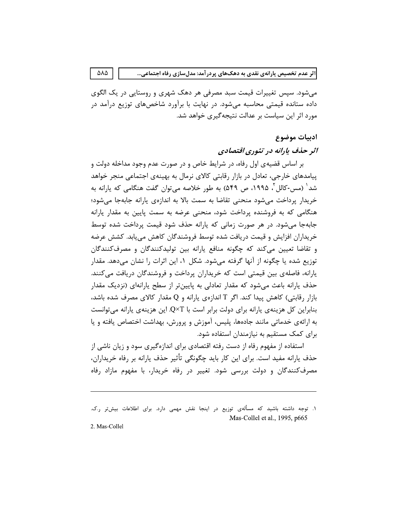ه یارانهی نقدی به دهکـهای پردرآمد: مدلـسازی رفاه اجتماعی...<br>بی تغییرات قیمت سبد مصرفی هر دهک شهری و روستایی در یک الگوی<br>قیمتی محاسبه میشود. در نهایت با برآورد شاخصهای توزیع درآمد در<br>سیاست بر عدالت نتیجهگیری خواهد شد. می شود. سپس تغییرات قیمت سبد مصرفی هر دهک شهری و روستایی در یک الگوی داده ستانده قیمتی محاسبه میشود. در نهایت با برآورد شاخصهای توزیع درآمد در مورد اثر این سیاست بر عدالت نتیجه گیری خواهد شد.

اثر عدم تخصیص باراندی نقدی به دهکخای پردرآمد: مدل سازی رفاه اجتماعی...<br>می شود. سپس تغییرات قیمت سبد مصرفی هر دهک شهری و روستایی در یک الگو<br>داده ستانده قیمتی محاسبه می شود. در نهایت با برآورد شاخص های توزیع درآمد<br>مورد اثر بر اساس قضیهی اول رفاه، در شرایط خاص و در صورت عدم وجود مداخله دولت و یپامدهای خارجی، تعادل در بازار رقابتی کالای نرمال به بهینهی اجتماعی منجر خواهد شد $^{\prime}$  (مس-كالل $^{\prime}$ ، 199۵، ص ۵۴۹) به طور خلاصه مىتوان گفت هنگامى كه يارانه به خريدار يرداخت مى شود منحنى تقاضا به سمت بالا به اندازهى يارانه جابهجا مى شود؛ هنگامی که به فروشنده پرداخت شود، منحنی عرضه به سمت پایین به مقدار پارانه جابهجا می شود. در هر صورت زمانی که پارانه حذف شود قیمت پرداخت شده توسط خریداران افزایش و قیمت دریافت شده توسط فروشندگان کاهش می یابد. کشش عرضه و تقاضا تعیین می کند که چگونه منافع پارانه بین تولیدکنندگان و مصرف کنندگان توزیع شده یا چگونه از آنها گرفته میشود. شکل ۱، این اثرات را نشان میدهد. مقدار یارانه، فاصلهی بین قیمتی است که خریداران پرداخت و فروشندگان دریافت میکنند. حذف پارانه باعث می شود که مقدار تعادلی به پایین تر از سطح پارانهای (نزدیک مقدار  $c$ بازار رقابتی) کاهش پیدا کند. اگر T اندازهی پارانه و Q مقدار کالای مصرف شده باشد، بنابراین کل هزینهی پارانه برای دولت برابر است با Q×T. این هزینهی پارانه میتوانست به ارائهي خدماتي مانند جادهها، پليس، آموزش و پرورش، بهداشت اختصاص يافته و يا برای کمک مستقیم به نیازمندان استفاده شود.

استفاده از مفهوم رفاه از دست رفته اقتصادی برای اندازهگیری سود و زیان ناشی از حذف پارانه مفید است. برای این کار باید چگونگی تأثیر حذف پارانه بر رفاه خریداران، مصرف کنندگان و دولت بررسی شود. تغییر در رفاه خریدار، با مفهوم مازاد رفاه

۱. توجه داشته باشید که مسالهی توزیع در اینجا نقش مهمی دارد. برای اطلاعات بیشتر ر.ک. Mas-Collel et al., 1995, p665

2. Mas-Collel

 $\Delta\lambda\Delta$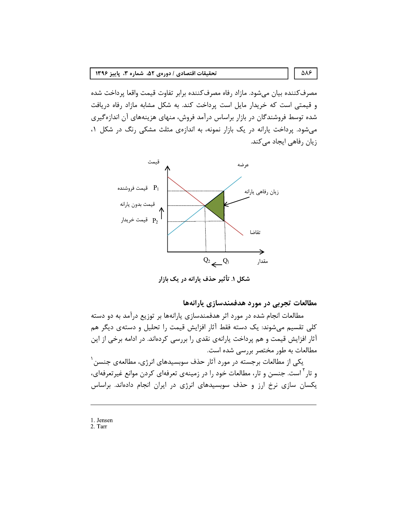## تحقیقات اقتصادی / دورهی ۵۲، شماره ۳، پاییز ۱۳۹۶

مصرف كننده بيان مىشود. مازاد رفاه مصرف كننده برابر تفاوت قيمت واقعا پرداخت شده و قیمتی است که خریدار مایل است پرداخت کند. به شکل مشابه مازاد رفاه دریافت شده توسط فروشندگان در بازار براساس درآمد فروش، منهای هزینههای آن اندازهگیری می شود. پرداخت پارانه در یک بازار نمونه، به اندازهی مثلث مشکی رنگ در شکل ۰۱ زیان رفاهی ایجاد می کند.



شکل ۱. تأثیر حذف پارانه در یک بازار

مطالعات تجربی در مورد هدفمندسازی یارانهها

مطالعات انجام شده در مورد اثر هدفمندسازی پارانهها بر توزیع درآمد به دو دسته کلی تقسیم میشوند: یک دسته فقط آثار افزایش قیمت را تحلیل و دستهی دیگر هم آثار افزایش قیمت و هم پرداخت یارانهی نقدی را بررسی کردهاند. در ادامه برخی از این مطالعات به طور مختصر بررسی شده است.

یکی از مطالعات برجسته در مورد آثار حذف سوبسیدهای انرژی، مطالعهی جنسن <sup>۱</sup> و تار<sup>۲</sup> است. جنسن و تار، مطالعات خود را در زمینهی تعرفهای کردن موانع غیرتعرفهای، یکسان سازی نرخ ارز و حذف سوبسیدهای انرژی در ایران انجام دادهاند. براساس

1. Jensen

2. Tarr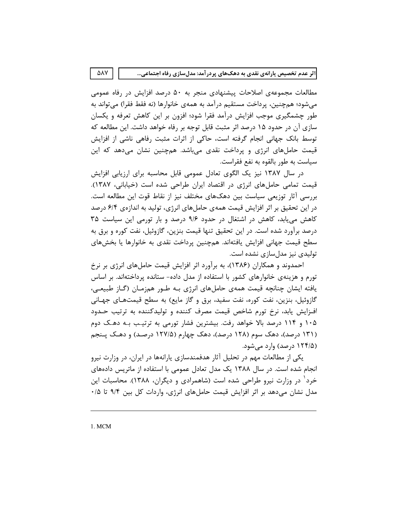مطالعات مجموعهی اصلاحات پیشنهادی منجر به ۵۰ درصد افزایش در رفاه عمومی می شود؛ هم چنین، پرداخت مستقیم در آمد به همهی خانوارها (نه فقط فقرا) می تواند به طور چشمگیری موجب افزایش درآمد فقرا شود؛ افزون بر این کاهش تعرفه و یکسان سازی آن در حدود ۱۵ درصد اثر مثبت قابل توجه بر رفاه خواهد داشت. این مطالعه که توسط بانک جهانی انجام گرفته است، حاکی از اثرات مثبت رفاهی ناشی از افزایش قیمت حاملهای انرژی و پرداخت نقدی میباشد. همچنین نشان میدهد که این سياست به طور بالقوه به نفع فقراست.

در سال ۱۳۸۷ نیز یک الگوی تعادل عمومی قابل محاسبه برای ارزیابی افزایش قیمت تمامی حاملهای انرژی در اقتصاد ایران طراحی شده است (خیابانی، ۱۳۸۷). بررسی آثار توزیعی سیاست بین دهکـهای مختلف نیز از نقاط قوت این مطالعه است. در این تحقیق بر اثر افزایش قیمت همهی حاملهای انرژی، تولید به اندازهی ۶/۴ درصد کاهش می یابد، کاهش در اشتغال در حدود ۹/۶ درصد و بار تورمی این سیاست ۳۵ درصد برآورد شده است. در این تحقیق تنها قیمت بنزین، گازوئیل، نفت کوره و برق به سطح قيمت جهاني افزايش يافتهاند. همچنين پرداخت نقدي به خانوارها يا بخشهاي تولیدی نیز مدل سازی نشده است.

احمدوند و همکاران (۱۳۸۶)، به برآورد اثر افزایش قیمت حاملهای انرژی بر نرخ تورم و هزینهی خانوارهای کشور با استفاده از مدل داده- ستانده پرداختهاند. بر اساس یافته ایشان چنانچه قیمت همهی حاملهای انرژی بـه طـور همزمـان (گـاز طبیعـی، گازوئیل، بنزین، نفت کوره، نفت سفید، برق و گاز مایع) به سطح قیمتهـای جهـانی افزایش یابد، نرخ تورم شاخص قیمت مصرف کننده و تولیدکننده به ترتیب حـدود ۱۰۵ و ۱۱۴ درصد بالا خواهد رفت. بیشترین فشار تورمی به ترتیب بـه دهـک دوم (۱۳۱ درصد)، دهک سوم (۱۲۸ درصد)، دهک چهارم (۱۲۷/۵ درصـد) و دهـک پـنجم (۱۲۴/۵ درصد) وارد می شود.

یکی از مطالعات مهم در تحلیل آثار هدفمندسازی پارانهها در ایران، در وزارت نیرو انجام شده است. در سال ۱۳۸۸ یک مدل تعادل عمومی با استفاده از ماتریس دادههای خرد` در وزارت نیرو طراحی شده است (شاهمرادی و دیگران، ۱۳۸۸). محاسبات این مدل نشان میدهد بر اثر افزایش قیمت حاملهای انرژی، واردات کل بین ۹/۴ تا ۰/۵

1. MCM

ΔΛΥ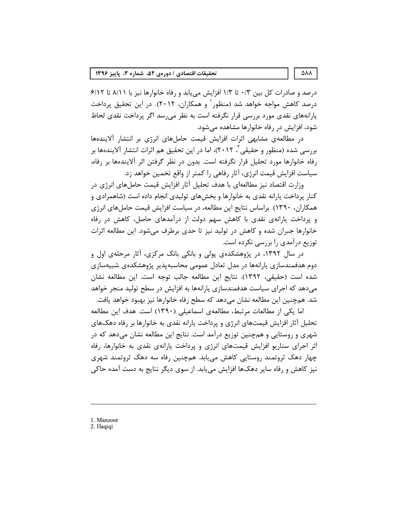درصد و صادرات کل بین ۰/۳ تا ۱/۳ افزایش می یابد و رفاه خانوارها نیز با ۸/۱۱ تا ۶/۱۲ درصد کاهش مواجه خواهد شد (منظور ٔ و همکاران، ۲۰۱۲). در این تحقیق پرداخت یارانههای نقدی مورد بررسی قرار نگرفته است به نظر میرسد اگر پرداخت نقدی لحاظ شود، افزایش در رفاه خانوارها مشاهده مے شود.

در مطالعهی مشابهی اثرات افزایش قیمت حاملهای انرژی بر انتشار آلایندهها بررسی شده (منظور و حقیقی <sup>۲</sup>، ۲۰۱۲)، اما در این تحقیق هم اثرات انتشار آلایندهها بر رفاه خانوارها مورد تحلیل قرار نگرفته است. بدون در نظر گرفتن اثر آلایندهها بر رفاه، سیاست افزایش قیمت انرژی، آثار رفاهی را کمتر از واقع تخمین خواهد زد.

وزارت اقتصاد نیز مطالعهای با هدف تحلیل آثار افزایش قیمت حاملهای انرژی در کنار پرداخت پارانه نقدی به خانوارها و بخشهای تولیدی انجام داده است (شاهمرادی و همکاران، ۱۳۹۰). براساس نتایج این مطالعه، در سیاست افزایش قیمت حاملهای انرژی و پرداخت پارانهی نقدی با کاهش سهم دولت از درآمدهای حاصل، کاهش در رفاه خانوارها جبران شده و کاهش در تولید نیز تا حدی برطرف میشود. این مطالعه اثرات توزیع درآمدی را بررسی نکرده است.

در سال ۱۳۹۲، در پژوهشکدهی پولی و بانکی بانک مرکزی، آثار مرحلهی اول و دوم هدفمندسازی پارانهها در مدل تعادل عمومی محاسبهپذیر پژوهشکدهی شبیهسازی شده است (حقیقی، ۱۳۹۲). نتایج این مطالعه جالب توجه است. این مطالعه نشان می دهد که اجرای سیاست هدفمندسازی پارانهها به افزایش در سطح تولید منجر خواهد شد. همچنین این مطالعه نشان می۵هد که سطح رفاه خانوارها نیز بهبود خواهد یافت.

اما یکی از مطالعات مرتبط، مطالعهی اسماعیلی (۱۳۹۰) است. هدف این مطالعه تحلیل آثار افزایش قیمتهای انرژی و پرداخت پارانه نقدی به خانوارها بر رفاه دهکهای شهری و روستایی و همچنین توزیع درآمد است. نتایج این مطالعه نشان می دهد که در اثر اجرای سناریو افزایش قیمتهای انرژی و پرداخت پارانهی نقدی به خانوارها، رفاه چهار دهک ثروتمند روستایی کاهش مییابد. همچنین رفاه سه دهک ثروتمند شهری نیز کاهش و رفاه سایر دهکها افزایش می یابد. از سوی دیگر نتایج به دست آمده حاکی

1. Manzoor

<sup>2.</sup> Haqiqi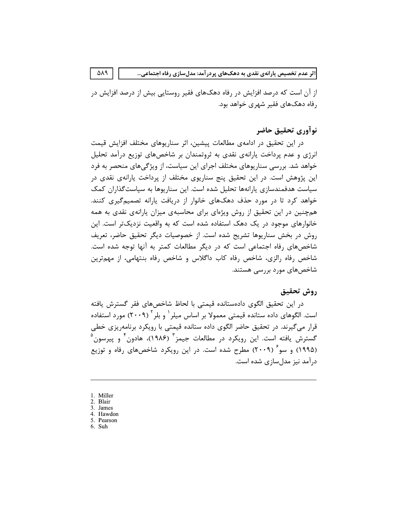از آن است که درصد افزایش در رفاه دهکـهای فقیر روستایی بیش از درصد افزایش در رفاه دهکـهای فقیر شهری خواهد بود.

# نوأوري تحقيق حاضر

در این تحقیق در ادامهی مطالعات پیشین، اثر سناریوهای مختلف افزایش قیمت انرژی و عدم پرداخت پارانهی نقدی به ثروتمندان بر شاخصهای توزیع درآمد تحلیل خواهد شد. بررسی سناریوهای مختلف اجرای این سیاست، از ویژگیهای منحصر به فرد این پژوهش است. در این تحقیق پنج سناریوی مختلف از پرداخت پارانهی نقدی در سیاست هدفمندسازی پارانهها تحلیل شده است. این سناریوها به سیاست گذاران کمک خواهد کرد تا در مورد حذف دهکهای خانوار از دریافت پارانه تصمیمگیری کنند. همچنین در این تحقیق از روش ویژهای برای محاسبهی میزان پارانهی نقدی به همه خانوارهای موجود در یک دهک استفاده شده است که به واقعیت نزدیکتر است. این روش در بخش سناريوها تشريح شده است. از خصوصيات ديگر تحقيق حاضر، تعريف شاخصهای رفاه اجتماعی است که در دیگر مطالعات کمتر به آنها توجه شده است. شاخص رفاه رالزی، شاخص رفاه کاب داگلاس و شاخص رفاه بنتهامی، از مهمترین شاخصهای مورد بررسی هستند.

### روش تحقيق

در این تحقیق الگوی دادهستانده قیمتی با لحاظ شاخصهای فقر گسترش یافته است. الگوهای داده ستانده قیمتی معمولا بر اساس میلر <sup>۱</sup> و بلر ۲۰۰۹) مورد استفاده قرار میگیرند. در تحقیق حاضر الگوی داده ستانده قیمتی با رویکرد برنامهریزی خطی گسترش یافته است. این رویکرد در مطالعات جیمز<sup>۳</sup> (۱۹۸۶)، هادون<sup>۴</sup> و پیرسون<sup>۵</sup> (۱۹۹۵) و سو<sup>۶</sup> (۲۰۰۹) مطرح شده است. در این رویکرد شاخصهای رفاه و توزیع درآمد نیز مدل سازی شده است.

- 1. Miller
- 2. Blair
- 3. James
- 4. Hawdon 5. Pearson
- 6. Suh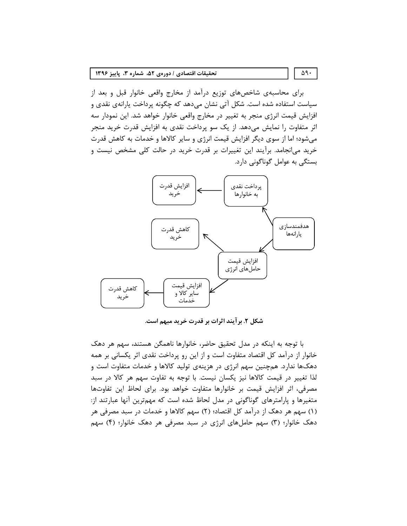#### تحقيقات اقتصادي / دورهي ۵۲، شماره ۳، پاييز ۱۳۹۶

برای محاسبهی شاخصهای توزیع درآمد از مخارج واقعی خانوار قبل و بعد از سیاست استفاده شده است. شکل آتی نشان میدهد که چگونه پرداخت پارانهی نقدی و افزایش قیمت انرژی منجر به تغییر در مخارج واقعی خانوار خواهد شد. این نمودار سه اثر متفاوت را نمایش میدهد. از یک سو پرداخت نقدی به افزایش قدرت خرید منجر میشود؛ اما از سوی دیگر افزایش قیمت انرژی و سایر کالاها و خدمات به کاهش قدرت خرید میانجامد. برآیند این تغییرات بر قدرت خرید در حالت کلی مشخص نیست و بستگے به عوامل گوناگونی دارد.



شکل ۲. برآیند اثرات بر قدرت خرید مبهم است.

با توجه به اینکه در مدل تحقیق حاضر، خانوارها ناهمگن هستند، سهم هر دهک خانوار از درآمد کل اقتصاد متفاوت است و از این رو پرداخت نقدی اثر یکسانی بر همه دهکـها ندارد. همچنین سهم انرژی در هزینهی تولید کالاها و خدمات متفاوت است و لذا تغییر در قیمت کالاها نیز یکسان نیست. با توجه به تفاوت سهم هر کالا در سبد مصرفی، اثر افزایش قیمت بر خانوارها متفاوت خواهد بود. برای لحاظ این تفاوتها متغیرها و پارامترهای گوناگونی در مدل لحاظ شده است که مهمترین آنها عبارتند از: (۱) سهم هر دهک از درآمد کل اقتصاد؛ (۲) سهم کالاها و خدمات در سبد مصرفی هر دهک خانوار؛ (۳) سهم حاملهای انرژی در سبد مصرفی هر دهک خانوار؛ (۴) سهم

#### $\Delta$ 9.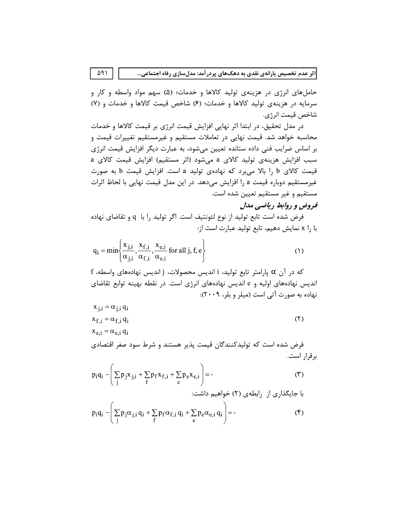حاملهای انرژی در هزینهی تولید کالاها و خدمات؛ (۵) سهم مواد واسطه و کار و سرمایه در هزینهی تولید کالاها و خدمات؛ (۶) شاخص قیمت کالاها و خدمات و (۷) شاخص قيمت انرژي.

در مدل تحقیق، در ابتدا اثر نهایی افزایش قیمت انرژی بر قیمت کالاها و خدمات محاسبه خواهد شد. قیمت نهایی در تعاملات مستقیم و غیرمستقیم تغییرات قیمت و بر اساس ضرایب فنی داده ستانده تعیین میشود، به عبارت دیگر افزایش قیمت انرژی سبب افزایش هزینهی تولید کالای a میشود (اثر مستقیم) افزایش قیمت کالای a قیمت کالای b را بالا میبرد که نهادهی تولید a است. افزایش قیمت b به صورت غیرمستقیم دوباره قیمت a را افزایش میدهد. در این مدل قیمت نهایی با لحاظ اثرات مستقيم و غير مستقيم تعيين شده است.

# فروض و روابط ریاضی مدل

فرض شده است تابع توليد از نوع لئونتيف است. اگر توليد را با q و تقاضاي نهاده با را x نمایش دهیم، تابع تولید عبارت است از:

$$
q_i = \min\left\{\frac{x_{j,i}}{\alpha_{j,i}}, \frac{x_{f,i}}{\alpha_{f,i}}, \frac{x_{e,i}}{\alpha_{e,i}} \text{ for all } j, f, e\right\}
$$
 (1)

f در آن  $\alpha$  پارامتر تابع تولید، i اندیس محصولات، j اندیس نهادههای واسطه، اندیس نهادههای اولیه و e اندیس نهادههای انرژی است. در نقطه بهینه توابع تقاضای نهاده به صورت آتی است (میلر و بلر، ۲۰۰۹):

$$
x_{j,i} = \alpha_{j,i} q_i
$$
  
\n
$$
x_{f,i} = \alpha_{f,i} q_i
$$
 (7)

 $x_{e,i} = \alpha_{e,i} q_i$ 

فرض شده است که تولیدکنندگان قیمت پذیر هستند و شرط سود صفر اقتصادی برقرار است.

$$
p_i q_i - \left(\sum_j p_j x_{j,i} + \sum_f p_f x_{f,i} + \sum_e p_e x_{e,i}\right) = \cdot
$$
 (7)

$$
p_i q_i - \left(\sum_j p_j \alpha_{j,i} q_i + \sum_f p_f \alpha_{f,i} q_i + \sum_e p_e \alpha_{e,i} q_i\right) = \cdot
$$
 (5)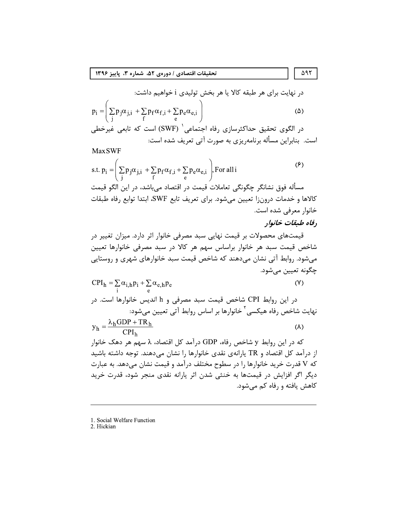#### تحقيقات اقتصادي / دورهي ۵۲، شماره ۳، پاييز ۱۳۹۶

در نهایت برای هر طبقه کالا یا هر بخش تولیدی i خواهیم داشت:  
\n
$$
p_i = \left( \sum_j p_j \alpha_{j,i} + \sum_j p_f \alpha_{f,i} + \sum_e p_e \alpha_{e,i} \right)
$$
\n(Δ)  
\n
$$
c_i = \begin{pmatrix} 1 & 0 & 0 \\ 0 & 0 & 0 \\ 0 & 0 & 0 \end{pmatrix}
$$
\n(ΔWF) 
$$
c_i = \sum_j p_i \alpha_{f,1} + \sum_i p_i \alpha_{f,2} + \sum_j p_i \alpha_{f,3} + \sum_j p_i \alpha_{f,4} + \sum_j p_i \alpha_{f,5} + \sum_j p_i \alpha_{f,6} + \sum_j p_i \alpha_{f,7} + \sum_j p_i \alpha_{f,8} + \sum_j p_i \alpha_{f,9} + \sum_j p_i \alpha_{f,1} + \sum_j p_i \alpha_{f,1} + \sum_j p_i \alpha_{f,1} + \sum_j p_i \alpha_{f,1} + \sum_j p_i \alpha_{f,1} + \sum_j p_i \alpha_{f,1} + \sum_j p_i \alpha_{f,1} + \sum_j p_i \alpha_{f,1} + \sum_j p_i \alpha_{f,2} + \sum_j p_i \alpha_{f,1} + \sum_j p_i \alpha_{f,2} + \sum_j p_i \alpha_{f,1} + \sum_j p_i \alpha_{f,2} + \sum_j p_i \alpha_{f,3} + \sum_j p_i \alpha_{f,4} + \sum_j p_i \alpha_{f,5} + \sum_j p_i \alpha_{f,6} + \sum_j p_i \alpha_{f,7} + \sum_j p_i \alpha_{f,8} + \sum_j p_i \alpha_{f,9} + \sum_j p_i \alpha_{f,1} + \sum_j p_i \alpha_{f,1} + \sum_j p_i \alpha_{f,1} + \sum_j p_i \alpha_{f,1} + \sum_j p_i \alpha_{f,1} + \sum_j p_i \alpha_{f,1} + \sum_j p_i \alpha_{f,2} + \sum_j p_i \alpha_{f,1} + \sum_j p_i \alpha_{f,1} + \sum_j p_i \alpha_{f,2} + \sum_j p_i \alpha_{f,1} + \sum_j p_i \alpha_{f,2} + \sum_j p_i \alpha_{f,3} + \sum_j p_i \alpha_{f,1} + \sum_j p_i \alpha_{f,2} + \sum_j p_i \alpha_{f,3} + \sum_j p_i \alpha_{f,1} + \sum_j
$$

**MaxSWF** 

s.t. 
$$
p_i = \left(\sum_j p_j \alpha_{j,i} + \sum_f p_f \alpha_{f,i} + \sum_e p_e \alpha_{e,i}\right)
$$
, For all i (9)

مسأله فوق نشانگر چگونگی تعاملات قیمت در اقتصاد میٖباشد، در این الگو قیمت كالاها و خدمات درونزا تعيين مي شود. براي تعريف تابع SWF، ابتدا توابع رفاه طبقات خانوار معرفی شده است.

# رفاه طبقات خانوار

قیمتهای محصولات بر قیمت نهایی سبد مصرفی خانوار اثر دارد. میزان تغییر در شاخص قیمت سبد هر خانوار براساس سهم هر کالا در سبد مصرفی خانوارها تعیین می شود. روابط آتی نشان میدهند که شاخص قیمت سبد خانوارهای شهری و روستایی چگونه تعيين ميشود.

$$
CPI_h = \sum_i \alpha_{i,h} p_i + \sum_e \alpha_{e,h} p_e
$$
 (Y)  
در این روابط CPI شاخص قیمت سبد مصرفی و 1 اندیس خانوارها است. در  
نهایت شاخص رفاه هیکسی<sup>7</sup> خانوارها بر اساس روابط آتی تعیین میشود:

 $y_h = \frac{\lambda_h GDP + TR_h}{CPI_h}$  $(\lambda)$ 

که در این روابط y شاخص رفاه، GDP درآمد کل اقتصاد، ۸ سهم هر دهک خانوار از درآمد کل اقتصاد و TR پارانهی نقدی خانوارها را نشان میدهند. توجه داشته باشید که V قدرت خرید خانوارها را در سطوح مختلف درآمد و قیمت نشان میدهد. به عبارت دیگر اگر افزایش در قیمتها به خنثی شدن اثر یارانه نقدی منجر شود، قدرت خرید کاهش یافته و رفاه کم میشود.

2. Hickian

 $\Delta$ 97

<sup>1.</sup> Social Welfare Function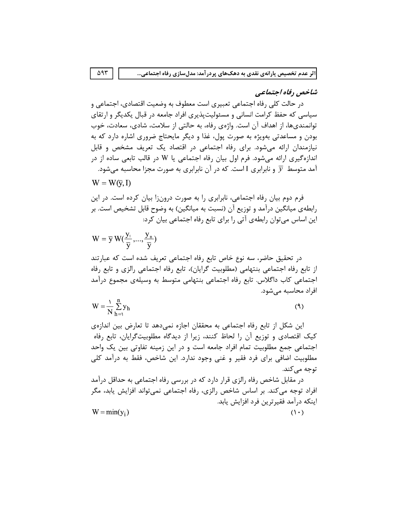# شاخص رفاه اجتماعی

در حالت کلی رفاه اجتماعی تعبیری است معطوف به وضعیت اقتصادی، اجتماعی و سیاسی که حفظ کرامت انسانی و مسئولیتیذیری افراد جامعه در قبال یکدیگر و ارتقای توانمندیها، از اهداف آن است. واژهی رفاه، به حالتی از سلامت، شادی، سعادت، خوب بودن و مساعدتی بهویژه به صورت پول، غذا و دیگر مایحتاج ضروری اشاره دارد که به نیازمندان ارائه می شود. برای رفاه اجتماعی در اقتصاد یک تعریف مشخص و قابل اندازهگیری ارائه میشود. فرم اول بیان رفاه اجتماعی یا W در قالب تابعی ساده از در آمد متوسط  $\overline{y}$  و نابرابری I است. که در آن نابرابری به صورت مجزا محاسبه میشود.

$$
W = W(\overline{y}, I)
$$

فرم دوم بیان رفاه اجتماعی، نابرابری را به صورت درونزا بیان کرده است. در این رابطهی میانگین درآمد و توزیع آن (نسبت به میانگین) به وضوح قابل تشخیص است. بر این اساس می توان رابطهی آتی را برای تابع رفاه اجتماعی بیان کرد:

$$
W = \overline{y} W(\frac{y_1}{\overline{y}},...,\frac{y_n}{\overline{y}})
$$

در تحقیق حاضر، سه نوع خاص تابع رفاه اجتماعی تعریف شده است که عبارتند از تابع رفاه اجتماعی بنتهامی (مطلوبیت گرایان)، تابع رفاه اجتماعی رالزی و تابع رفاه اجتماعي كاب داگلاس. تابع رفاه اجتماعي بنتهامي متوسط به وسيلهي مجموع درآمد افراد محاسبه مے شود.

$$
W = \frac{1}{N} \sum_{h=1}^{n} y_h
$$
 (9)

این شکل از تابع رفاه اجتماعی به محققان اجازه نمیدهد تا تعارض بین اندازهی کیک اقتصادی و توزیع آن را لحاظ کنند، زیرا از دیدگاه مطلوبیتگرایان، تابع رفاه اجتماعی جمع مطلوبیت تمام افراد جامعه است و در این زمینه تفاوتی بین یک واحد مطلوبیت اضافی برای فرد فقیر و غنی وجود ندارد. این شاخص، فقط به درآمد کلی توجه می کند.

در مقابل شاخص رفاه رالزی قرار دارد که در بررسی رفاه اجتماعی به حداقل درآمد افراد توجه میکند. بر اساس شاخص رالزی، رفاه اجتماعی نمیتواند افزایش یابد، مگر اینکه درآمد فقیرترین فرد افزایش پابد.  $W = min(y_i)$  $(1 \cdot)$ 

 $\Delta$ 9٣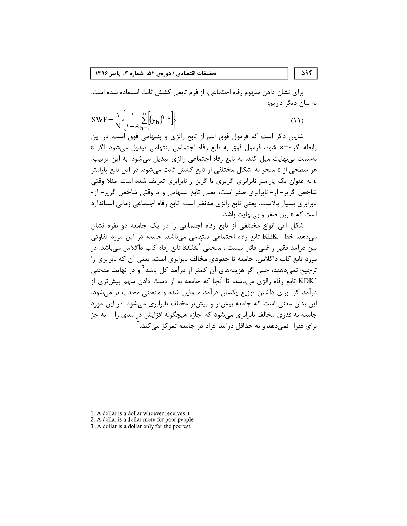برای نشان دادن مفهوم رفاه اجتماعی، از فرم تابعی کشش ثابت استفاده شده است. به بیان دیگر داریم:

$$
SWF = \frac{1}{N} \left\{ \frac{1}{1 - \varepsilon} \sum_{h=1}^{n} \left[ (y_h)^{-\varepsilon} \right] \right\}
$$
(11)

شایان ذکر است که فرمول فوق اعم از تابع رالزی و بنتهامی فوق است. در این رابطه اگر ·=٤ شود، فرمول فوق به تابع رفاه اجتماعي بنتهامي تبديل مي شود. اگر ٤ بەسمت بے،نهایت میل کند، به تابع رفاه اجتماعی رالزی تبدیل می،شود. به این ترتیب، هر سطحی از ε منجر به اشکال مختلفی از تابع کشش ثابت میشود. در این تابع پارامتر ε به عنوان یک پارامتر نابرابری-گریزی یا گریز از نابرابری تعریف شده است. مثلا وقتی شاخص گریز- از- نابرابری صفر است، یعنی تابع بنتهامی و یا وقتی شاخص گریز- از-نابرابري بسيار بالاست، يعني تابع رالزي مدنظر است. تابع رفاه اجتماعي زماني استاندارد است که ε بین صفر و بی نهایت باشد.

شکل آتی انواع مختلفی از تابع رفاه اجتماعی را در یک جامعه دو نفره نشان می دهد. خط KEK´ تابع رفاه اجتماعی بنتهامی میباشد. جامعه در این مورد تفاوتی بین درآمد فقیر و غنی قائل نیست ٰ. منحنی ´KCK تابع رفاه کاب داگلاس می،باشد. در مورد تابع کاب داگلاس، جامعه تا حدودی مخالف نابرابری است، یعنی آن که نابرابری را ترجیح نمیدهند، حتی اگر هزینههای آن کمتر از درآمد کل باشد<sup>۲</sup> و در نهایت منحنی KDK ٌ تابع رفاه رالزی می باشد، تا آنجا که جامعه به از دست دادن سهم بیش تری از درآمد کل برای داشتن توزیع یکسان درآمد متمایل شده و منحنی محدب تر می شود، این بدان معنی است که جامعه بیشتر و بیشتر مخالف نابرابری میشود. در این مورد جامعه به قدری مخالف نابرابری می شود که اجازه هیچگونه افزایش درآمدی ,ا — به جز برای فقرا– نمے دھد و به حداقل درآمد افراد در جامعه تمرکز مے کند.

<sup>1.</sup> A dollar is a dollar whoever receives it

<sup>2.</sup> A dollar is a dollar more for poor people

<sup>3.</sup> A dollar is a dollar only for the poorest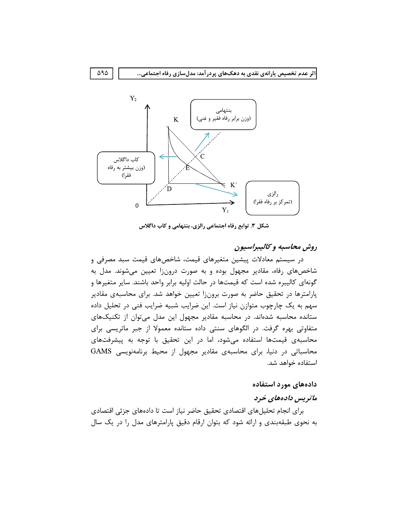

شکل ۳. توابع رفاه اجتماعی رالزی، بنتهامی و کاب داگلاس

# روش محاسبه و کالیبراسیون

در سیستم معادلات پیشین متغیرهای قیمت، شاخصهای قیمت سبد مصرفی و شاخصهای رفاه، مقادیر مجهول بوده و به صورت درونزا تعیین میشوند. مدل به گونهای کالیبره شده است که قیمتها در حالت اولیه برابر واحد باشند. سایر متغیرها و پارامترها در تحقیق حاضر به صورت برونزا تعیین خواهد شد. برای محاسبهی مقادیر سهم به یک چارچوب متوازن نیاز است. این ضرایب شبیه ضرایب فنی در تحلیل داده ستانده محاسبه شدهاند. در محاسبه مقادیر مجهول این مدل میتوان از تکنیکهای متفاوتی بهره گرفت. در الگوهای سنتی داده ستانده معمولا از جبر ماتریسی برای محاسبهی قیمتها استفاده میشود، اما در این تحقیق با توجه به پیشرفتهای محاسباتی در دنیا، برای محاسبهی مقادیر مجهول از محیط برنامهنویسی GAMS استفاده خواهد شد.

# دادههای مورد استفاده

# ماتریس دادههای خرد

براي انجام تحليلهاي اقتصادي تحقيق حاضر نياز است تا دادههاي جزئي اقتصادي به نحوی طبقهبندی و ارائه شود که بتوان ارقام دقیق پارامترهای مدل را در یک سال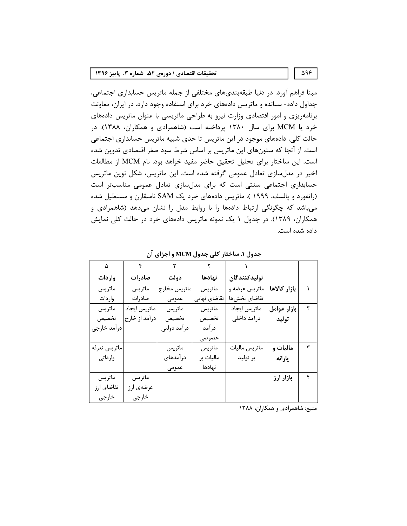#### تحقيقات اقتصادي / دورهي ۵۲، شماره ۳، پاييز ۱۳۹۶

مبنا فراهم آورد. در دنیا طبقهبندیهای مختلفی از جمله ماتریس حسابداری اجتماعی، جداول داده- ستانده و ماتریس دادههای خرد برای استفاده وجود دارد. در ایران، معاونت برنامهریزی و امور اقتصادی وزارت نیرو به طراحی ماتریسی با عنوان ماتریس دادههای خرد یا MCM برای سال ۱۳۸۰ پرداخته است (شاهمرادی و همکاران، ۱۳۸۸). در حالت کلی، دادههای موجود در این ماتریس تا حدی شبیه ماتریس حسابداری اجتماعی است. از آنجا که ستونهای این ماتریس بر اساس شرط سود صفر اقتصادی تدوین شده است، این ساختار برای تحلیل تحقیق حاضر مفید خواهد بود. نام MCM از مطالعات اخیر در مدلسازی تعادل عمومی گرفته شده است. این ماتریس، شکل نوین ماتریس حسابداری اجتماعی سنتی است که برای مدلسازی تعادل عمومی مناسبتر است (راتفورد و پالسف، ۱۹۹۹ ). ماتریس دادههای خرد یک SAM نامتقارن و مستطیل شده میباشد که چگونگی ارتباط دادهها را با روابط مدل را نشان میدهد (شاهمرادی و همکاران، ۱۳۸۹). در جدول ۱ یک نمونه ماتریس دادههای خرد در حالت کلی نمایش داده شده است.

| ۵            |               |              |              |               |              |   |
|--------------|---------------|--------------|--------------|---------------|--------------|---|
| واردات       | صادرات        | دولت         | نهادها       | توليدكنندگان  |              |   |
| ماتريس       | ماتريس        | ماتريس مخارج | ماتريس       | ماتریس عرضه و | بازار كالاها |   |
| واردات       | صادرات        | عمومى        | تقاضای نهایی | تقاضاي بخشها  |              |   |
| ماتريس       | ماتريس ايجاد  | ماتريس       | ماتريس       | ماتريس ايجاد  | بازار عوامل  | ٢ |
| تخصيص        | درآمد از خارج | تخصيص        | تخصيص        | درآمد داخلی   | توليد        |   |
| درآمد خارجى  |               | درآمد دولتى  | درآمد        |               |              |   |
|              |               |              | خصوصى        |               |              |   |
| ماتريس تعرفه |               | ماتريس       | ماتريس       | ماتريس ماليات | ماليات و     | ٣ |
| وارداتى      |               | درآمدهای     | ماليات بر    | بر توليد      | يارانه       |   |
|              |               | عمومى        | نهادها       |               |              |   |
| ماتريس       | ماتريس        |              |              |               | بازار ارز    | ۴ |
| تقاضاي ارز   | عرضهي ارز     |              |              |               |              |   |
| خارجى        | خارجى         |              |              |               |              |   |

جدول ۱. ساختار کلی جدول MCM و اجزای آن

منبع: شاهمرادی و همکاران، ۱۳۸۸

 $\Delta$ 98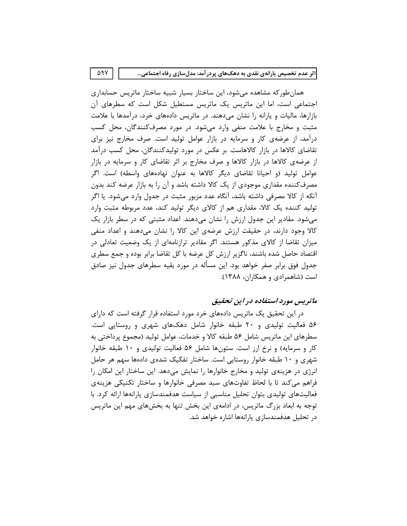۵۹۷

همان طور که مشاهده می شود، این ساختار بسیار شبیه ساختار ماتریس حسابداری اجتماعی است، اما این ماتریس یک ماتریس مستطیل شکل است که سطرهای آن بازارها، مالیات و یارانه را نشان میدهند. در ماتریس دادههای خرد، درآمدها با علامت مثبت و مخارج با علامت منفی وارد میشود. در مورد مصرفکنندگان، محل کسب درآمد، از عرضهی کار و سرمایه در بازار عوامل تولید است. صرف مخارج نیز برای تقاضای کالاها در بازار کالاهاست. بر عکس در مورد تولیدکنندگان، محل کسب درآمد از عرضهی کالاها در بازار کالاها و صرف مخارج بر اثر تقاضای کار و سرمایه در بازار عوامل تولید (و احیانا تقاضای دیگر کالاها به عنوان نهادههای واسطه) است. اگر مصرفکننده مقداری موجودی از یک کالا داشته باشد و آن را به بازار عرضه کند بدون آنکه از کالا مصرفی داشته باشد، آنگاه عدد مزبور مثبت در جدول وارد میشود. یا اگر تولید کننده یک کالا، مقداری هم از کالای دیگر تولید کند، عدد مربوطه مثبت وارد میشود. مقادیر این جدول ارزش را نشان میدهند. اعداد مثبتی که در سطر بازار یک کالا وجود دارند، در حقیقت ارزش عرضهی این کالا را نشان میدهند و اعداد منفی میزان تقاضا از کالای مذکور هستند. اگر مقادیر ترازنامهای از یک وضعیت تعادلی در اقتصاد حاصل شده باشند، ناگزیر ارزش کل عرضه با کل تقاضا برابر بوده و جمع سطری جدول فوق برابر صفر خواهد بود. این مسأله در مورد بقیه سطرهای جدول نیز صادق است (شاهمرادی و همکاران، ۱۳۸۸).

# ماتریس مورد استفاده در این تحقیق

در این تحقیق یک ماتریس دادههای خرد مورد استفاده قرار گرفته است که دارای ۵۶ فعالیت تولیدی و ۲۰ طبقه خانوار شامل دهکهای شهری و روستایی است. سطرهای این ماتریس شامل ۵۶ طبقه کالا و خدمات، عوامل تولید (مجموع پرداختی به کار و سرمایه) و نرخ ارز است. ستونها شامل ۵۶ فعالیت تولیدی و ۱۰ طبقه خانوار شهری و ۱۰ طبقه خانوار روستایی است. ساختار تفکیک شدهی دادهها سهم هر حامل انرژی در هزینهی تولید و مخارج خانوارها را نمایش میدهد. این ساختار این امکان را فراهم میکند تا با لحاظ تفاوتهای سبد مصرفی خانوارها و ساختار تکنیکی هزینهی فعالیتهای تولیدی بتوان تحلیل مناسبی از سیاست هدفمندسازی پارانهها ارائه کرد. با توجه به ابعاد بزرگ ماتریس، در ادامهی این بخش تنها به بخشهای مهم این ماتریس در تحلیل هدفمندسازی پارانهها اشاره خواهد شد.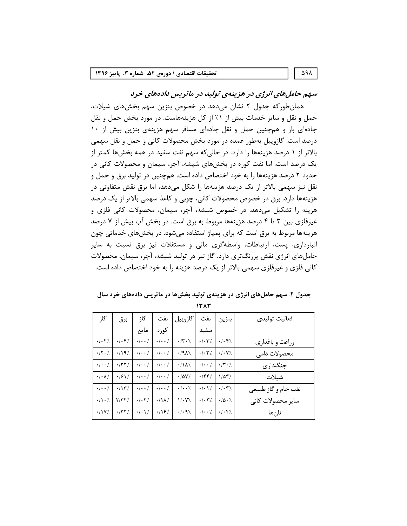)1 '
0) %-./+,' ()\*
 '\$% &!"# همانطورکه جدول ۲ نشان میدهد در خصوص بنزین سهم بخشهای شیلات، حمل و نقل و سایر خدمات بیش از ۱٪ از کل هزینههاست. در مورد بخش حمل و نقل جادهای بار و همچنین حمل و نقل جادهای مسافر سهم هزینهی بنزین بیش از ١٠ درصد است. گازوييل بەطور عمده در مورد بخش محصولات كانى و حمل و نقل سهمى بالاتر از ۱ درصد هزینهها را دارد. در حالی که سهم نفت سفید در همه بخشها کمتر از یک درصد است. اما نفت کوره در بخشهای شیشه، آجر، سیمان و محصولات کانی در حدود ۲ درصد هزینهها را به خود اختصاص داده است. همچنین در تولید برق و حمل و نقل نیز سهمی بالاتر از یک درصد هزینهها را شکل میدهد، اما برق نقش متفاوتی در هزينهها دارد. برق در خصوص محصولات كاني، چوبي و كاغذ سهمي بالاتر از يک درصد هزينه را تشكيل مى دهد. در خصوص شيشه، آجر، سيمان، محصولات كانى فلزى و غیرفلزی بین ۳ تا ۴ درصد هزینهها مربوط به برق است. در بخش آب بیش از ۷ درصد هزینهها مربوط به برق است که برای پمپاژ استفاده میشود. در بخشهای خدماتی چون انبارداری، پست، ارتباطات، واسطهگری مالی و مستغلات نیز برق نسبت به سایر حاملهای انرژی نقش پررنگتری دارد. گاز نیز در تولید شیشه، آجر، سیمان، محصولات کانی فلزی و غیرفلزی سهمی بالاتر از یک درصد هزینه را به خود اختصاص داده است.

|                                      |                                       |                              |                         |                           |                                           |                                           | حاملهای انرژی نقش پررنگتری دارد. گاز نیز در تولید شیشه، آجر، سیمان، محصولات |
|--------------------------------------|---------------------------------------|------------------------------|-------------------------|---------------------------|-------------------------------------------|-------------------------------------------|-----------------------------------------------------------------------------|
|                                      |                                       |                              |                         |                           |                                           |                                           | کانی فلزی و غیرفلزی سهمی بالاتر از یک درصد هزینه را به خود اختصاص داده است. |
|                                      |                                       |                              |                         |                           |                                           |                                           |                                                                             |
|                                      |                                       |                              |                         |                           |                                           |                                           |                                                                             |
|                                      |                                       |                              |                         |                           |                                           |                                           | جدول ۲. سهم حاملهای انرژی در هزینهی تولید بخشها در ماتریس دادههای خرد سال   |
|                                      |                                       |                              |                         |                           | 1383                                      |                                           |                                                                             |
|                                      |                                       |                              |                         |                           |                                           |                                           |                                                                             |
| گا;                                  | برق                                   | گا;                          | نفت                     | گازوييل                   | نفت                                       | بنزين                                     | فعاليت توليدي                                                               |
|                                      |                                       | مايع                         | كوره                    |                           | سفيد                                      |                                           |                                                                             |
| $\cdot$ / $\cdot$ $\cdot$ $\cdot$ /. | $\cdot$ / $\cdot$ $\cdot$ /           | $\cdot$   $\cdot$            | $\cdot$   $\cdot$       | $\cdot$ / $\cdot$ /.      | $\cdot$ / $\cdot$ $\uparrow'$ /           | .1.57                                     | زراعت و باغداری                                                             |
| $\cdot$ /۲ $\cdot$ /                 | $\cdot$ /197.                         | $\cdot$   $\cdot$            | $\cdot$ / $\cdot$ /     | $\cdot$ /9 $\lambda$ %    | $\cdot$ / $\cdot$ $\uparrow$ /            | $\cdot$ / $\cdot$ Y/.                     | محصولات دامى                                                                |
| $\cdot$ / $\cdot$ /                  | $\cdot$ /۳۲/                          | $\cdot$ / $\cdot$ /.         | $\cdot$ / $\cdot$ /     | $\cdot/\lambda/\lambda$ . | $\cdot$ / $\cdot$ /                       | $\cdot$ /Y $\cdot$ /.                     | جنگلداری                                                                    |
|                                      |                                       |                              |                         |                           |                                           | $1/\Delta T'$                             |                                                                             |
| $\cdot$ / $\cdot$ / $\lambda$ /      | $\cdot$ / $\cdot$ / $\cdot$ / $\cdot$ | $\cdot$   $\cdot$            | $\cdot$ / $\cdot$ /     | $\cdot$ /۵۷/.             | .789/                                     |                                           | شيلات                                                                       |
| $\cdot$ / $\cdot$ /                  | $\cdot$ /\\'                          | $\cdot$   $\cdot$            | $\cdot$   $\cdot$       | $\cdot$ / $\cdot$ /.      | $\cdot$ / $\cdot$ $\setminus$             | $\cdot$ / $\cdot$ $\cdot$ $\cdot$ $\cdot$ | نفت خام و گاز طبیعی                                                         |
| $\cdot/\cdot/$                       | Y/YY/                                 | $\cdot$ / $\cdot$ $\cdot$ /. | $\cdot/\lambda/\lambda$ | $V - V$ .                 | $\cdot$ / $\cdot$ $\cdot$ $\cdot$ $\cdot$ | $\cdot/\Delta\cdot$ /                     | سایر محصولات کانی                                                           |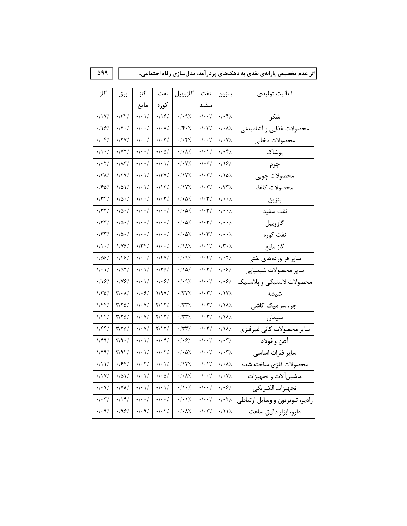نفت |گازوييل گاز گاز فعاليت توليدى برق نفت بنزين کوره مايع سفيد شكر  $\cdot$  /  $\mathsf{Y}\mathsf{Y}\mathsf{Z}$  $\cdot$  /۲۲/.  $\cdot$ /  $\cdot$  Y/.  $.187$  $\cdot$ /  $\cdot$  9%  $\cdot$  /  $\cdot$  /  $|\cdot| \cdot | \cdot \rangle$  $.1197$  $\cdot$ /f $\cdot$ /  $\cdot$  /  $\cdot$  /  $\cdot$  /  $\cdot$  //  $\cdot$ /۴ $\cdot$ /  $\cdot$ /  $\cdot$   $\uparrow$   $\cdot$   $\downarrow$   $\cdot$  /  $\cdot$   $\wedge$  / محصولات غذايي و آشاميدني  $\cdot$  /  $\cdot$  '/.  $\cdot$ /  $\cdot$  Y/.  $\cdot/\cdot$ ۴/  $\cdot$  /۲۷/.  $\cdot$  /  $\cdot$  /.  $\cdot/\cdot$  <br>(  $\hspace{-0.1cm}/$  $\cdot$ / $\cdot$   $\mathfrak{f}$  /. محصولات دخانى  $\cdot/\!\!\!\!\lambda\cdot\!/$  $\cdot$ /YY/  $\cdot$  /  $\cdot$  /.  $\cdot$  /  $\cdot$   $\Delta^{\prime}/$  $\cdot$  /  $\cdot$  //.  $\cdot$  /  $\cdot$  /  $\!/$  $\cdot/\cdot$  <br> <br> F/. پوشاک  $\cdot$  /  $\cdot$  7  $\!/$  $\cdot$  /<br>AY/.  $\cdot$  /  $\cdot$  /.  $\cdot/\cdot$  \/.  $\cdot$  /  $\cdot$  V/.  $\cdot$  /  $\cdot$   $\cdot$   $\cdot$   $\cdot$   $\cdot$   $\cdot$  $.119%$ چرم  $\cdot$  /  $\cdot$  /  $\hspace{-0.1cm}\cdot$  /  $+/\Lambda\Delta^{\prime\prime}$  $\cdot$  /۲۸/  $1/7Y/$  $\cdot/\cdot$  \ /.  $\cdot$  /۲<br>Y/.  $\cdot$ / \Y/. محصولات چوبی  $\cdot$  />^0/  $1/\Delta Y$  $\cdot$  /  $\cdot$  / /  $\cdot/\mathcal{N}\mathcal{V}$  $\cdot$ / \Y/.  $\cdot$  /  $\cdot$  /  $\hspace{-0.1cm}\cdot$  /  $\cdot$  /۲۳/ محصولات كاغذ  $.779/$  $\cdot/\Delta\cdot$  /.  $\cdot$  /  $\cdot$  /.  $\cdot/\cdot$   $\mathbf{y}$  /.  $\cdot$  /  $\cdot$   $\Delta$  /.  $\cdot/\cdot$   $\mathbf{Y}/$  $\cdot$  /  $\cdot$  / بنزين  $\cdot/\Delta\cdot$  /.  $\cdot$  /  $\cdot$  /.  $\cdot$  |  $\cdot$  |  $\cdot$  /  $\cdot$  <br>  $\Delta$  /.  $\cdot/\cdot$   $\mathbf{Y}^{\prime}/$  $\cdot$  /  $\cdot$  /  $\cdot$ /٣٣/ نفت سفيد  $\cdot$  /  $\cdot$  /.  $\cdot$  /  $\cdot$  /  $\cdot$  /  $\cdot$   $\Delta$  /.  $\cdot$  /  $\cdot$  /  $\cdot$  /٢٣/  $\cdot/\Delta\cdot$  /  $\cdot/\cdot$  (  $\gamma'$ گازوييل  $\cdot$  /  $\cdot$  /.  $\cdot$  /  $\cdot$  /  $\cdot$  /  $\cdot$   $\Delta$  /.  $\cdot$  /  $\cdot$  /  $\cdot$  $\cdot$  /  $\cdot$  / نفت كوره  $\cdot$  /٣٣/.  $\cdot/\Delta\cdot$  /.  $\frac{1}{\sqrt{2}}$  $.779$  $\cdot$  /  $\cdot$  /  $\cdot$ /  $\cdot$   $\frac{1}{2}$  $\cdot$  /۲  $\cdot$  /  $\cdot/\Lambda \cdot \frac{1}{\Lambda}$  $\cdot/\Lambda/\Lambda$ . گاز مايع  $.1097$  $.199/$  $\cdot$  /  $\cdot$  /  $.797/$  $\cdot$  /  $\cdot$  9%  $\cdot/\cdot$   $\mathsf{f}$  /  $\cdot$ /  $\cdot$   $\uparrow$   $\cdot$ سایر فرآوردههای نفتی  $\mathcal{N}\cdot\mathcal{N}$  $\cdot$  /  $\Delta$   $\!$  /  $\!$  /  $\!$  $\cdot$  /  $\cdot$  / /.  $\cdot$  /۲۵/  $\cdot/\Lambda\Delta\%$  $\cdot$  /  $\cdot$  /  $\cdot$  $\cdot$  /  $\cdot$  /. ساير محصولات شيميايي  $.1197/$  $\cdot$  /YF/.  $\cdot$  /  $\cdot$  /  $\!/$  $\cdot$  /  $\cdot$  /  $\cdot$  $\cdot$  /  $\cdot$  9%  $\cdot$  /  $\cdot$  '/.  $|\cdot| \cdot \mathcal{F}$ /. محصولات لاستيكى و پلاستيك  $1/\Upsilon\Delta/$  $\mathbf{Y}/\boldsymbol{\cdot}$  A/.  $\cdot$  /  $\cdot$   $\cdot$  /.  $1/9V/$  $\boldsymbol{\cdot}$  /٣٢/.  $\cdot$ /  $\cdot$   $\uparrow$   $\neq$  $\cdot/1$ Y/ شيشه آجر، سرامیک کاشی  $1/FF$  $Y/Y\Delta/$  $\cdot$ / $\cdot$ Y/.  $Y/1Y/$  $\cdot$ /٣٣/.  $\cdot$  /  $\cdot$   $\uparrow$  /.  $\cdot/\Lambda$ /.  $\mathbf{Y}/\mathbf{Y}\Delta^{\prime}$  $\cdot/\Lambda\lambda\prime$  $1/997$  $\cdot$ /  $\cdot$  Y/  $Y/1Y/$  $\cdot$  /٢٣/.  $\cdot$ /  $\cdot$   $\uparrow$   $\neq$ سيمان ساير محصولات كاني غيرفلزي  $1/FF$ /  $\mathbf{Y}/\mathbf{Y}\boldsymbol{\Delta}^{\prime\prime}$  $\cdot$  /  $\cdot$  V  $\!/$  $\mathsf{Y}/\mathsf{Y}\mathsf{Y}$  .  $\cdot$  /٣٣/.  $\cdot$  /  $\cdot$  /  $\cdot$  $\cdot/\Lambda\lambda\%$  $1/F97$  $\mathbf{Y}/\mathbf{Q}\cdot\mathbf{Z}$  $\cdot$  /  $\cdot$  /  $\!/$  $\cdot$  /  $\cdot$  <br>  $\mathfrak{f}$  /  $\cdot$  /  $\cdot$   $\cdot$  /.  $\cdot$  /  $\cdot$  '/.  $\cdot/\cdot$  <br>  $\mathbf{Y}^{\prime}/$ آهن و فولاد  $\Upsilon/9\Upsilon/$  $\cdot$ /  $\cdot$   $\setminus$  $\cdot$  /  $\cdot$  /  $\cdot$  $\cdot$  /  $\cdot$  /  $\cdot$ / $\cdot$   $\mathsf{r}'$ /  $1/F97$  $\cdot$  /  $\cdot$   $\Delta$  / سایر فلزات اساسی  $.1997.$  $\cdot/\cdot\lambda$  /. محصولات فلزى ساخته شده  $-111/$  $\cdot/\cdot$   $\cdot$   $\cdot$   $\cdot$  $\cdot/\cdot$  \ /.  $\cdot/17$ .  $\cdot/\cdot$  \ /  $\cdot/1 \mathrm{V} /$  $\cdot$  /  $\Delta$  <br>  $\rm V$  /.  $\cdot$  /  $\cdot$  /  $\!/$  $\cdot$  /  $\cdot$   $\Delta$  /.  $\cdot$  /  $\cdot$  //.  $\cdot$  /  $\cdot$  '/.  $\cdot$  /  $\cdot$  V/. ماشينآلات و تجهيزات  $\cdot/\cdot$  V/.  $\cdot$  /  $\cdot$   $\cdot$  /. تجهيزات الكتريكي  $\cdot$  /  $\cdot$  V/.  $\cdot$  /YA/.  $\cdot$  /  $\cdot$  /  $\!/$  $\cdot/\!\!$  \  $\cdot$  /.  $\cdot$  /  $\cdot$  /  $\cdot$ راديو، تلويزيون و وسايل ارتباطي  $\cdot$  /  $\cdot$   $\bf Y$  /  $.119/$  $\cdot$  /  $\cdot$  /.  $\cdot$  /  $\cdot$  /.  $\cdot/\cdot$  \ /.  $\cdot$  /  $\cdot$  /.  $\cdot$ /  $\cdot$   $\cdot$   $\cdot$   $\cdot$  $\cdot$  /  $\cdot$  97/  $.195%$  $\cdot$ /  $\cdot$  9%  $\cdot$  /  $\cdot$  7  $\rlap{.}{\mathcal{L}}$  $\cdot$  /  $\cdot$  A'/.  $\cdot$  /  $\cdot$  /  $\hspace{-0.1cm}\cdot$  /  $\cdot$ /117. دارو، ابزار دقيق ساعت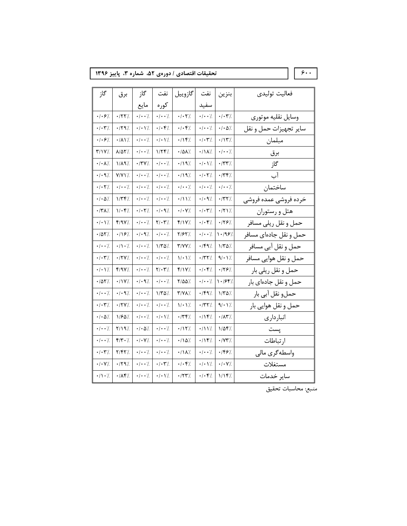تحقیقات اقتصادی / دورەی ۵۲، شماره ۳، پاییز ۱۳۹۶

 $\overline{\xi}$ .

| گاز                                 | برق                                         | گاز                             | نفت                                  | گازوييل                                                                                           | نفت                                            | بنزين                                     | فعاليت توليدى          |
|-------------------------------------|---------------------------------------------|---------------------------------|--------------------------------------|---------------------------------------------------------------------------------------------------|------------------------------------------------|-------------------------------------------|------------------------|
|                                     |                                             | مايع                            | كوره                                 |                                                                                                   | سفيد                                           |                                           |                        |
| $\cdot$ / $\cdot$ $\cdot$ $\cdot$ / | $\cdot$ /٢٢/                                | $\cdot$ / $\cdot$ /             | $\cdot$ / $\cdot$ /                  | $\cdot$ / $\cdot$ $\Upsilon'$ .                                                                   | $\cdot$ / $\cdot$ /                            | $\cdot$ / $\cdot$ $\mathbf{Y}'$ /         | وسايل نقليه موتوري     |
| $\cdot$ / $\cdot$ ۳/                | $\cdot$ /٢٩/                                | $\cdot$ / $\cdot$ \ /.          | $\cdot$ / $\cdot$ $\cdot$ $\cdot$ /. | $\cdot$ / $\cdot$ $\cdot$ $\cdot$ $\cdot$ $\cdot$                                                 | $\cdot$ / $\cdot$ /                            | $\cdot$ / $\cdot$ $\Delta$ /.             | ساير تجهيزات حمل و نقل |
| .1.87                               | $\cdot$ / $\lambda$ \ $\frac{1}{\lambda}$ . | $\cdot$ / $\cdot$ /.            | $\cdot$ / $\cdot$ $\setminus$ /.     | .797.                                                                                             | $\cdot$ / $\cdot$ $\uparrow$ /.                | $\cdot/\gamma$                            | مبلمان                 |
| Y/1Y/                               | /۵۲٪                                        | $\cdot$ / $\cdot$ /.            | 1/77/                                | $\cdot$ /0 $\lambda$ /.                                                                           | $\cdot$ /\ $\lambda$ '/                        | $\cdot$ / $\cdot$ /                       | برق                    |
| $\cdot$ / $\cdot$ $\lambda$ /.      | $1/\lambda$ 9%                              | $\cdot$ /٣٧/.                   | $\cdot$ / $\cdot$ /.                 | $\cdot$ /19/                                                                                      | $\cdot$ / $\cdot$ / /.                         | $\cdot$ /٣٣/                              | گاز                    |
| $\cdot$ / $\cdot$ 9 /               | $Y/YY$ .                                    | $\cdot$ / $\cdot$ /.            | $\cdot$ / $\cdot$ /.                 | .1197.                                                                                            | $\cdot$ / $\cdot$ $\uparrow$ $\frac{1}{\cdot}$ | $\cdot$ / $\uparrow \uparrow$ /           | آب                     |
| $\cdot$ / $\cdot$ $\uparrow$ $\vee$ | $\cdot$ / $\cdot$ $\cdot$ /                 | $\cdot$ / $\cdot$ /.            | $\cdot$   $\cdot$                    | $\cdot$ / $\cdot$ /                                                                               | $\cdot$ / $\cdot$ /.                           | $\cdot$ / $\cdot$ /                       | ساختمان                |
| $\cdot$ / $\cdot$ $\Delta$ /.       | $1/\Upsilon$                                | $\cdot$ / $\cdot$ /.            | $\cdot$ / $\cdot$ /.                 | $\cdot/11$ .                                                                                      | $\cdot$ / $\cdot$ 9 /                          | $\cdot$ /۳۲/.                             | خرده فروشى عمده فروشى  |
| $\cdot$ /۳۸/.                       | 1/67/                                       | $\cdot$ / $\cdot$ $\uparrow$ /. | $\cdot$ / $\cdot$ 9 /                | $\cdot$ / $\cdot$ Y/.                                                                             | $\cdot$ / $\cdot$ $\uparrow$ $\cdot$           | $\cdot$ /۲۱/                              | هتل و رستوران          |
| $\cdot$ / $\cdot$ \/.               | 4/97%                                       | $\cdot$ / $\cdot$ /             | $Y/\cdot Y'$                         | f/1V/                                                                                             | $\cdot$ / $\cdot$ ۴/                           | .179%                                     | حمل و نقل ريلي مسافر   |
| ۱۵۲٪.                               | $\cdot$ /16/.                               | $\cdot$ / $\cdot$ 9 /           | $\cdot$ / $\cdot$ /.                 | ٪۱۶۲ (۲                                                                                           | $\cdot$ / $\cdot$ /                            | 1.99/                                     | حمل و نقل جادهای مسافر |
| $\cdot$ / $\cdot$ /.                | $\cdot/\wedge\cdot$ /                       | $\cdot$ / $\cdot$ /.            | $1/\tau\Delta$ /                     | Y/YY/                                                                                             | $\cdot$ /۴۹/                                   | 1/70/                                     | حمل و نقل آبي مسافر    |
| $\cdot$ / $\cdot$ ۳/                | $\cdot$ /۲۷/                                | $\cdot$ / $\cdot$ /.            | $\cdot$ / $\cdot$ /.                 | $V \cdot V$ .                                                                                     | $\cdot$ /٣٢/                                   | 9/11/                                     | حمل و نقل هوايي مسافر  |
| $\cdot$ / $\cdot$ / /.              | Y/9Y/                                       | $\cdot$ / $\cdot$ /.            | $Y/\cdot Y'$ .                       | f/Y                                                                                               | $\cdot$ / $\cdot$ $\cdot$ $\cdot$ /.           | $\cdot$ /28 /.                            | حمل و نقل ريلي بار     |
| ۰/۵۲٪                               | $\cdot$ / \ Y'/.                            | $\cdot$ / $\cdot$ 97.           | $\cdot$ / $\cdot$ /                  | %۵۵/                                                                                              | $\cdot$ / $\cdot$ /.                           | 1.1997                                    | حمل و نقل جادهای بار   |
| $\cdot$ / $\cdot$ /.                | $\cdot$ / $\cdot$ 9 /                       | $\cdot$ / $\cdot$ /.            | 1/70/                                | $\Upsilon/\Upsilon\Lambda$ %                                                                      | ۰/۴۹٪                                          | ۱/۳۵٪                                     | حمل و نقل آبي بار      |
| $\cdot$ / $\cdot$ ۳/.               | $\cdot$ /۲۷/.                               | $\cdot$ / $\cdot$ /.            | $\cdot$ / $\cdot$ /.                 | $V \cdot V$ .                                                                                     | $\cdot$ /۳۲/.                                  | 9/11/                                     | حمل و نقل هوايي بار    |
| $\cdot$ / $\cdot$ / $\cdot$         | /۱۶۵٪                                       | $\cdot$ / $\cdot$ /             | $\cdot$ / $\cdot$ \/.                | $\cdot$ /٣۴/                                                                                      | ۰/۱۴٪                                          | $\cdot$ / $\wedge$ $\check{\ }$ / $\cdot$ | انبار داری             |
| $\cdot$ / $\cdot$ /.                | $Y/Y$ ۹/                                    | $\cdot$ / $\cdot$ $\Delta$ /.   | $\cdot$ / $\cdot$ /.                 | $\cdot$ /1۲/.                                                                                     | •/\\'/.                                        | $1/\Delta f$ /                            | يست                    |
| $\cdot$ / $\cdot$ /.                | $Y/Y \cdot 7$                               | $\cdot$ / $\cdot$ Y/.           | $\cdot$ / $\cdot$ /.                 | $\cdot/\Delta$ %                                                                                  | $\cdot$ /14/                                   | $\cdot$ / $\vee$ $\vee$ $\cdot$ /         | ار تباطات              |
| $\cdot$ / $\cdot$ $\uparrow$ /      | /۲/۴۲                                       | $\cdot$ / $\cdot$ /             | $\cdot$ / $\cdot$ /                  | $\cdot$ /\ $\lambda$ '/.                                                                          | $\cdot$ / $\cdot$ /.                           | .189/                                     | واسطهگری مالی          |
| $\cdot$ / $\cdot$ Y/.               | $\cdot$ /۲۹/                                | $\cdot$ / $\cdot$ /.            | $\cdot$ / $\cdot$ ۳/.                | $\cdot$ / $\cdot$<br>$\hspace{-.05cm}\raisebox{.5pt}{\text{\circle*{1.5}}}\hspace*{-.05cm}\gamma$ | $\cdot$ / $\cdot$ \ /                          | $\cdot$ / $\cdot$ Y/.                     | مستغلات                |
| $\cdot/\wedge\cdot$ /.              | $\cdot$ / $\wedge$ $\uparrow$ /             | $\cdot$ / $\cdot$ /.            | $\cdot$ / $\cdot$ \ $\gamma$ .       | $\cdot$ /۲۳/.                                                                                     | $\cdot/\cdot$ ۴/                               | ۱/۱۴٪                                     | سایر خدمات             |

منبع: محاسبات تحقيق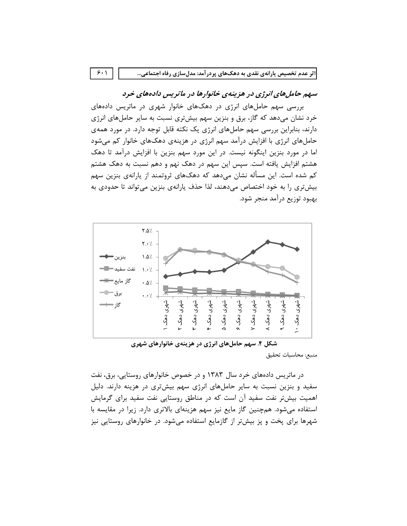$9.1$ 

# سهم حاملهای انرژی در هزینهی خانوارها در ماتریس دادههای خرد

بررسی سهم حاملهای انرژی در دهکهای خانوار شهری در ماتریس دادههای خرد نشان میدهد که گاز، برق و بنزین سهم بیشتری نسبت به سایر حاملهای انرژی دارند، بنابراین بررسی سهم حاملهای انرژی یک نکته قابل توجه دارد. در مورد همهی حاملهای انرژی با افزایش درآمد سهم انرژی در هزینهی دهکهای خانوار کم میشود اما در مورد بنزین اینگونه نیست. در این مورد سهم بنزین با افزایش درآمد تا دهک هشتم افزایش یافته است. سپس این سهم در دهک نهم و دهم نسبت به دهک هشتم کم شده است. این مسأله نشان می۵هد که دهکـهای ثروتمند از پارانهی بنزین سهم بیشتری را به خود اختصاص میدهند، لذا حذف پارانهی بنزین می تواند تا حدودی به بهبود توزيع درآمد منجر شود.



شکل ۴. سهم حاملهای انرژی در هزینهی خانوارهای شهری منبع: محاسبات تحقيق

در ماتریس دادههای خرد سال ۱۳۸۳ و در خصوص خانوارهای روستایی، برق، نفت سفید و بنزین نسبت به سایر حاملهای انرژی سهم بیشتری در هزینه دارند. دلیل اهمیت بیشتر نفت سفید آن است که در مناطق روستایی نفت سفید برای گرمایش استفاده می شود. هم چنین گاز مایع نیز سهم هزینهای بالاتری دارد. زیرا در مقایسه با شهرها برای پخت و پز بیشتر از گازمایع استفاده میشود. در خانوارهای روستایی نیز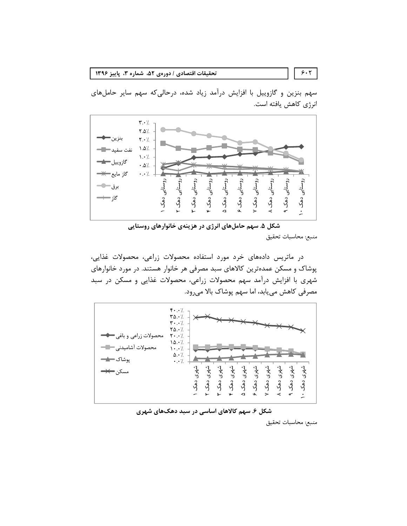تحقيقات اقتصادي / دورهي ۵۲، شماره ۳، پاييز ۱۳۹۶

سهم بنزین و گازوییل با افزایش درآمد زیاد شده، درحالی که سهم سایر حاملهای انرژی کاهش یافته است.



شکل ۵. سهم حاملهای انرژی در هزینهی خانوارهای روستایی منبع: محاسبات تحقيق

در ماتریس دادههای خرد مورد استفاده محصولات زراعی، محصولات غذایی، پوشاک و مسکن عمدهترین کالاهای سبد مصرفی هر خانوار هستند. در مورد خانوارهای شهری با افزایش درآمد سهم محصولات زراعی، محصولات غذایی و مسکن در سبد مصرفی کاهش میبابد، اما سهم پوشاک بالا میرود.





منبع: محاسبات تحقيق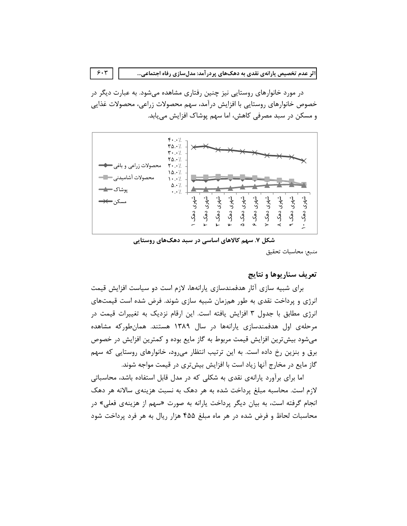در مورد خانوارهای روستایی نیز چنین رفتاری مشاهده می شود. به عبارت دیگر در خصوص خانوارهای روستایی با افزایش درآمد، سهم محصولات زراعی، محصولات غذایی و مسکن در سبد مصرفی کاهش، اما سهم یوشاک افزایش می یابد.



شکل ۷. سهم کالاهای اساسی در سبد دهکهای روستایی منبع: محاسبات تحقيق

# تعريف سناريوها و نتايج

برای شبیه سازی آثار هدفمندسازی پارانهها، لازم است دو سیاست افزایش قیمت انرژی و پرداخت نقدی به طور همزمان شبیه سازی شوند. فرض شده است قیمتهای انرژی مطابق با جدول ۳ افزایش یافته است. این ارقام نزدیک به تغییرات قیمت در مرحلهی اول هدفمندسازی یارانهها در سال ۱۳۸۹ هستند. همانطورکه مشاهده میشود بیشترین افزایش قیمت مربوط به گاز مایع بوده و کمترین افزایش در خصوص برق و بنزین رخ داده است. به این ترتیب انتظار می رود، خانوارهای روستایی که سهم گاز مایع در مخارج آنها زیاد است با افزایش بیشتری در قیمت مواجه شوند.

اما برای برآورد پارانهی نقدی به شکلی که در مدل قابل استفاده باشد، محاسباتی لازم است. محاسبه مبلغ پرداخت شده به هر دهک به نسبت هزینهی سالانه هر دهک انجام گرفته است، به بیان دیگر پرداخت پارانه به صورت «سهم از هزینهی فعلی» در محاسبات لحاظ و فرض شده در هر ماه مبلغ ۴۵۵ هزار ریال به هر فرد پرداخت شود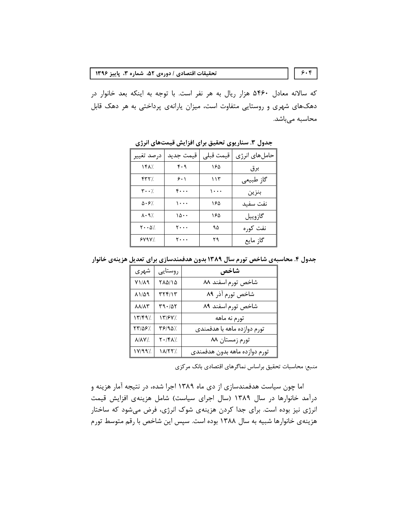که سالانه معادل ۵۴۶۰ هزار ریال به هر نفر است. با توجه به اینکه بعد خانوار در دهکهای شهری و روستایی متفاوت است، میزان پارانهی پرداختی به هر دهک قابل محاسبه میباشد.

| درصد تغيير                            | قيمت جديد                      | قيمت قبلي | حامل های انرژی |
|---------------------------------------|--------------------------------|-----------|----------------|
| /۱۴۸                                  | ۴۰۹                            | ۱۶۵       | برق            |
| YYY'                                  | ۶۰۱                            | ۱۱۳       | گاز طبیعی      |
| $\mathbf{y} \cdot \cdot \mathbf{y}$   | ۴۰۰۰                           | ۰۰۰ ۱     | بنزين          |
| $\Delta \cdot 9$                      | $\cdots$                       | ۱۶۵       | نفت سفيد       |
| $\lambda \cdot \mathcal{N}$           | ۱۵۰۰                           | ۱۶۵       | گازوييل        |
| $\mathbf{Y} \cdot \cdot \mathbf{A}$ % | $\mathsf{y} \cdot \cdot \cdot$ | ۹۵        | نفت کورہ       |
| 5Y9Y'                                 | ۲۰۰۰                           | ۲۹        | گاز مايع       |

جدول ٣. سناریوی تحقیق برای افزایش قیمتهای انرژی

جدول ۴. محاسبهی شاخص تورم سال ۱۳۸۹ بدون هدفمندسازی برای تعدیل هزینهی خانوار

| شهر ی                 | روستايي  | شاخص                          |
|-----------------------|----------|-------------------------------|
| $V1/\lambda$ 9        | ۲۸۵/۱۵   | شاخص تورم اسفند ۸۸            |
| 88114                 | ۳۲۴/۱۳   | شاخص تورم آذر ۸۹              |
| <b>AA/A۳</b>          | ۳۹۰/۵۲   | شاخص تورم اسفند ٨٩            |
| $\frac{17}{9}$        | 1٣/۶٧/.  | تورم نه ماهه                  |
| /۲۳/۵۶                | /۳۶/۹۵٪  | تورم دوازده ماهه با هدفمندی   |
| $\lambda/\lambda$ Y/. | /۲۰/۴۸ ک | تورم زمستان ۸۸                |
| ۷/۹۹٪                 | ۱۸/۲۲٪   | تورم دوازده ماهه بدون هدفمندى |

منبع: محاسبات تحقيق براساس نماگرهای اقتصادی بانک مرکزی

اما چون سیاست هدفمندسازی از دی ماه ۱۳۸۹ اجرا شده، در نتیجه آمار هزینه و درآمد خانوارها در سال ۱۳۸۹ (سال اجرای سیاست) شامل هزینهی افزایش قیمت انرژی نیز بوده است. برای جدا کردن هزینهی شوک انرژی، فرض میشود که ساختار هزینهی خانوارها شبیه به سال ۱۳۸۸ بوده است. سپس این شاخص با رقم متوسط تورم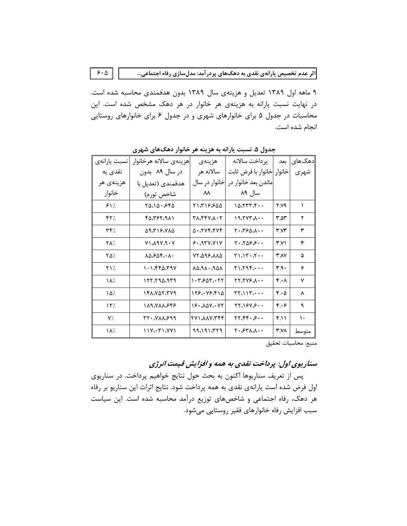۹ ماهه اول ۱۳۸۹ تعدیل و هزینهی سال ۱۳۸۹ بدون هدفمندی محاسبه شده است. در نهایت نسبت یارانه به هزینهی هر خانوار در هر دهک مشخص شده است. این محاسبات در جدول ۵ برای خانوارهای شهری و در جدول ۶ برای خانوارهای روستایی انجام شده است.

 $5.0$ 

|              |                        |                                                                         | - 75 - 77 - 77 - 7                                     |                   |         |
|--------------|------------------------|-------------------------------------------------------------------------|--------------------------------------------------------|-------------------|---------|
| نسبت يارانهى | هزينهي سالانه هرخانوار | هزينهى                                                                  | ير داخت سالانه                                         | ىعد               | دهک های |
| نقدی به      | در سال ۸۹ بدون         | سالانه هر                                                               | خانوار  خانوار با فرض ثابت                             |                   | شهري    |
| هزينهي هر    | هدفمندی (تعدیل با      | خانوار در سال                                                           | ماندن بعد خانوار در                                    |                   |         |
| خانوار       | شاخص تورم)             | ᄊ                                                                       | سال ۸۹                                                 |                   |         |
| 81/          | ۲۵،۱۵۰،۶۴۵             | ۵۵۶.۲۱۶ ۲                                                               | $10.777.5 \cdot \cdot$                                 | 2.V9              | ١       |
| ۴۲٪          | ۴۵،۳۶۲،۹۸۱             | ۳۸،۴۴۷،۸۰۲                                                              | 19.7YY.                                                | ۳.۵۳              | ۲       |
| 7۴٪          | ۵۹،۳۱۶،۷۸۵             | $\Delta$ $\cdot$ $\Lambda$ $\gamma$ $\gamma$ $\gamma$ $\gamma$ $\gamma$ | ۰۰۸،۴۶۵،۸۰۰                                            | ۳.۷۳              | ٣       |
| <b>YA7</b>   | V1.19V.9.4V            | 9.8                                                                     | $Y \cdot \Delta 9.9 \cdot \cdot \cdot$                 | ۳.۷۱              | ۴       |
| 7۵٪          | ۸۵،۶۵۴،۰۸۰             | ۸۸،۸۹۶،۸۸۵                                                              | $Y \setminus \{Y \cdot X \cdot \cdot$                  | <b>۳ AV</b>       | ۵       |
| ۲۱٪          | ۱۰۱،۴۴۵،۳۹۷            | $\lambda \Delta \rho$ . $\lambda \rho$ . $\Delta \rho$                  | $Y \setminus Y \cup Y \subset \cdots$                  | ۳۹۰               | ۶       |
| ١٨٪          | ۲۲۲،۲۹۵،۹۳۹            | ۱۰۳ <i>.۶</i> ۵۳،۰۲۲                                                    | $YY, YYY, \ldots$                                      | $f \cdot \Lambda$ | ٧       |
| $\delta/2$   | ١۴٨،٧۵٢،٣٧٩            | 178. 78.814                                                             | $\gamma$                                               | 6.0               | ٨       |
| ۱۲٪          | 189.VAA.GFG            | 16. 407. . 72                                                           | YY.19Y.9                                               | ۴.۰۶              | ٩       |
| Y'/.         | ۳۲۰،۷۸۸،۶۹۹            | <b>777.VAA.1V7</b>                                                      | $\gamma\gamma\gamma\gamma\gamma\cdot\beta\cdot\cdot$   | F.11              | ١.      |
| ١٨٪          | $11Y_i.71.7Y1$         | ۹۹،۱۹۱،۳۲۹                                                              | $Y \cdot \mathscr{S} Y \wedge \mathscr{N} \cdot \cdot$ | 3.VA              | متوسط   |

جدول ۵. نسبت بارانه به هزینه هر خانوار دهکهای شهری

منبع: محاسبات تحقيق

# سناریوی اول: پرداخت نقدی به همه و افزایش قیمت انرژی

پس از تعریف سناریوها اکنون به بحث حول نتایج خواهیم پرداخت. در سناریوی اول فرض شده است یارانهی نقدی به همه پرداخت شود. نتایج اثرات این سناریو بر رفاه هر دهک، رفاه اجتماعی و شاخصهای توزیع درآمد محاسبه شده است. این سیاست سبب افزایش رفاه خانوارهای فقیر روستایی میشود.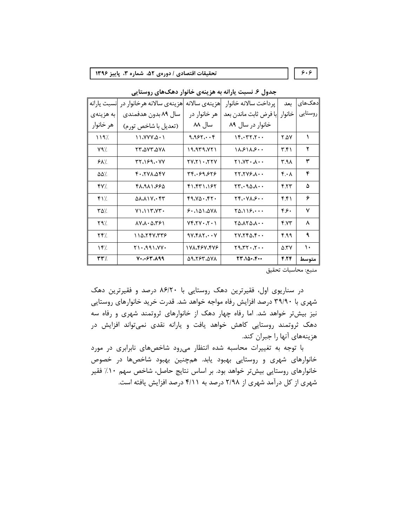-

تحقيقات اقتصادى / دورهى ۵۲. شماره ۳. پاييا<br>جدول ۶. نسبت يارانه به هزينهى خانوار دهك\هاى روستايى<br>دهك\عاى جدد | پرداخت سالانه خانوار | هزينهى سالانه اهزينهى سالانه هرخانوار در |<br>دوستايى | خانوار | با فرض ثابت ماندن بعد | هر 67589:; <=> ;?@A5B ;?@A5BFAG59CB?3DE <=>K<A5LC>5JHDI5> NOM59;3;?@A5B FAG594FP7Q2 | هر خانوار در زینهی سالانه |هزینهی سالانه هرخانوار در<br>مر خانوار در سال ۸۹ بدون هدفمندی<br> سال ۸۸ (تعدیل با شاخص تورم) | سال ۸۹ بدون هدفمندی هزينهى سالانه هرخانوار در انسبت يارانه<br>سال ۸۹ بدون هدفمندى مليه هزينهى<br>(تعديل با شاخص تورم) محص هر خانوار aafh aac```c\_da fcfg]cddb abcde]c]dd ]^\_` \  $Y$ q' $/$  | Tr $\Delta$ Yr $\Delta$ Yx $\Delta$  | 19 $\Delta$ 19 $\Delta$ Yri | 18 $\Delta$ S $\Delta$  $\mathcal{G}\mathcal{N}/\mathcal{N}$  | relation | relation expression in the contract  $\mathcal{S}$  $\Delta \Delta$ % | F+ $\chi$ YVV $\Delta$ FY | TF $\chi$ +99.676 | T $\chi$ , $\chi$ Y9. $\lambda$ ++ | F $\star$  | F  $\mathfrak{F}\mathsf{Y}\!/\!\!/ \qquad \qquad \mathfrak{F}\Lambda_1\mathfrak{A}\Lambda_1\mathfrak{S}\mathfrak{S}\; \qquad \qquad \mathfrak{F}\Lambda_1\mathfrak{F}\mathfrak{F}\Gamma_1\Lambda\mathfrak{S}\mathfrak{F}\qquad \qquad \qquad \mathfrak{F}\mathfrak{F}\mathfrak{F}\qquad \qquad \mathfrak{S}\!$ bah \_jcja`cdbe bfc`\_dcb]d ]bcd`jcgdd b^ba n  $\begin{bmatrix} \texttt{Y} \texttt{X} \texttt{Y} \texttt{Y} \texttt{Y} \texttt{Y} \texttt{Y} \end{bmatrix}$   $\begin{bmatrix} \texttt{S} \texttt{Y} \texttt{Y} \texttt{Y} \texttt{Y} \texttt{Y} \end{bmatrix}$   $\begin{bmatrix} \texttt{S} \texttt{Y} \texttt{Y} \texttt{Y} \texttt{Y} \texttt{Y} \texttt{Y} \texttt{Y} \end{bmatrix}$  $\mathcal{F}$  are the set  $\mathcal{F}$  in  $\mathcal{F}$  ,  $\mathcal{F}$  ,  $\mathcal{F}$  ,  $\mathcal{F}$  ,  $\mathcal{F}$  ,  $\mathcal{F}$  ,  $\mathcal{F}$  ,  $\mathcal{F}$  ,  $\mathcal{F}$  ,  $\mathcal{F}$  ,  $\mathcal{F}$  ,  $\mathcal{F}$  ,  $\mathcal{F}$  ,  $\mathcal{F}$  ,  $\mathcal{F}$  ,  $\mathcal{F}$  ,  $\mathcal{F}$  ,  $\begin{bmatrix} \mathcal{N} \mathcal{N} \end{bmatrix}$  and  $\begin{bmatrix} \mathcal{N} \mathcal{N} \end{bmatrix}$  and  $\begin{bmatrix} \mathcal{N} \mathcal{N} \end{bmatrix}$  and  $\begin{bmatrix} \mathcal{N} \end{bmatrix}$  and  $\begin{bmatrix} \mathcal{N} \end{bmatrix}$  and  $\begin{bmatrix} \mathcal{N} \end{bmatrix}$  and  $\begin{bmatrix} \mathcal{N} \end{bmatrix}$  and  $\begin{bmatrix} \mathcal{N} \end{bmatrix}$  and  $\begin$  $\mathcal{M}$  and  $\mathcal{M}$  and  $\mathcal{M}$  and  $\mathcal{M}$  are  $\mathcal{M}$  and  $\mathcal{M}$  and  $\mathcal{M}$ متوسط | ۷۰،۰۶۳،۸۹۹ | ۵۹،۲۶۳،۵۷۸ | ۲۳/۱۵۰،۴۰۰ | ۲۳/ متوسط

جدول ۶. نسبت یارانه به هزینهی خانوار دهکهای روستایی

منبع: محاسبات تحقيق

در سناریوی اول، فقیرترین دهک روستایی با ۸۶/۲۰ درصد و فقیرترین دهک شهری با ۳۹/۹۰ درصد افزایش رفاه مواجه خواهد شد. قدرت خرید خانوارهای روستایی نیز بیشتر خواهد شد. اما رفاه چهار دهک از خانوارهای ثروتمند شهری و رفاه سه دهک ثروتمند روستایی کاهش خواهد یافت و یارانه نقدی نمیتواند افزایش در هزينههاي آنها را جبران كند.

با توجه به تغییرات محاسبه شده انتظار میرود شاخصهای نابرابری در مورد خانوارهای شهری و روستایی بهبود یابد. همچنین بهبود شاخصها در خصوص خانوارهای روستایی بیشتر خواهد بود. بر اساس نتایج حاصل، شاخص سهم ۱۰٪ فقیر شهری از کل درآمد شهری از ۲/۹۸ درصد به ۴/۱۱ درصد افزایش یافته است.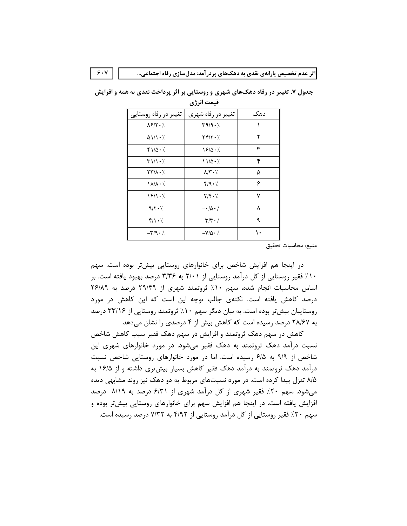|                                                 | - - -                                       |     |
|-------------------------------------------------|---------------------------------------------|-----|
| تغییر در رفاه روستایی                           | تغییر در رفاه شهری                          | دهک |
| $\lambda$ ۶/۲۰/                                 | 49/9.7                                      |     |
| $\Delta V$                                      | $\Upsilon \Upsilon / \Upsilon \cdot \Delta$ | ۲   |
| ۱۱۵۰٪                                           | 18/0.7                                      | ٣   |
| $T11 - L$                                       | $11/\Delta$ . $\ell$                        | ۴   |
| 777 A . 7                                       | $\lambda$ / $\mathbf{Y} \cdot \mathbf{7}$   | ۵   |
| 1 A/A • /.                                      | f/9.7                                       | ۶   |
| $\left\langle \frac{\epsilon}{2} \right\rangle$ | $Y/F \cdot 7$                               | ٧   |
| 9/5.7                                           | $-\cdot/\Delta \cdot$ /                     | ٨   |
| $f/\rightarrow$                                 | $-\mathbf{Y}/\mathbf{Y} \cdot \mathbf{A}$   | ٩   |
| $-\mathbf{r}/\mathbf{q} \cdot \mathbf{r}$       | $-V/\Delta \cdot \gamma$                    | ۱۰  |

جدول ۷. تغییر در رفاه دهک های شهری و روستایی بر اثر پرداخت نقدی به همه و افزایش قيمت انرژي

منبع: محاسبات تحقيق

در اینجا هم افزایش شاخص برای خانوارهای روستایی بیشتر بوده است. سهم ۱۰٪ فقیر روستایی از کل درآمد روستایی از ۲/۰۱ به ۳/۳۶ درصد بهبود یافته است. بر اساس محاسبات انجام شده، سهم ۱۰٪ ثروتمند شهری از ۲۹/۴۹ درصد به ۲۶/۸۹ درصد کاهش یافته است. نکتهی جالب توجه این است که این کاهش در مورد روستاییان بیش تر بوده است. به بیان دیگر سهم ۱۰٪ ثروتمند روستایی از ۳۳/۱۶ درصد به ۲۸/۶۷ درصد رسیده است که کاهش بیش از ۴ درصدی را نشان میدهد.

کاهش در سهم دهک ثروتمند و افزایش در سهم دهک فقیر سبب کاهش شاخص نسبت درآمد دهک ثروتمند به دهک فقیر میشود. در مورد خانوارهای شهری این شاخص از ۹/۹ به ۶/۵ رسیده است. اما در مورد خانوارهای روستایی شاخص نسبت درآمد دهک ثروتمند به درآمد دهک فقیر کاهش بسیار بیشتری داشته و از ۱۶/۵ به ۸/۵ تنزل پیدا کرده است. در مورد نسبتهای مربوط به دو دهک نیز روند مشابهی دیده می شود. سهم ۲۰٪ فقیر شهری از کل درآمد شهری از ۶/۳۱ درصد به ۸/۱۹ درصد افزایش یافته است. در اینجا هم افزایش سهم برای خانوارهای روستایی بیشتر بوده و سهم ۲۰٪ فقیر روستایی از کل درآمد روستایی از ۴/۹۲ به ۷/۳۲ درصد رسیده است.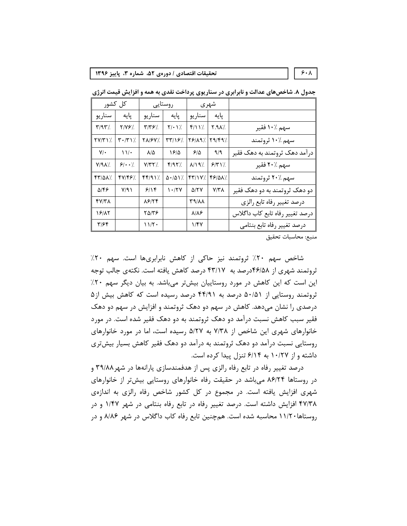تحقیقات اقتصادی / دورهی ۵۲، شماره ۳، پاییز ۱۳۹۶

کل کشور روستايى شهري سناريو سناريو پایه سناريو پایه پایه  $Y/YY$ .  $\Upsilon/\Upsilon$  $Y/\cdot Y$ /  $f/N$  $Y.A/\lambda$ سهم ١٠٪ فقير  $Y/9Y'$ . سهم ۱۰٪ ثروتمند  $\mathbf{Y} \cdot (\mathbf{Y} \setminus \mathcal{C})$ **TA/FY/.**  $Y9/19/179/97$  $\Upsilon V/\Upsilon$  $\mathbf{Y} \mathbf{Y} / \mathbf{S}$  $Y/\cdot$  $\mathcal{N}$  $\lambda/\Delta$  $19/0$  $9/2$  $9/9$ درآمد دهک ثروتمند به دهک فقیر  $9/4.7$  $Y/YY$  $f/97$  $\lambda/\lambda$  ٩%  $9/7$ سهم ٪۲۰ فقیر  $Y/9A$  $YY/0A$  $fY/fF$ .  $FF/91$  $\Delta$  -  $/\Delta$  \  $\frac{7}{7}$ .  $YY/1Y/$ 48/01% سهم ۲۰٪ ثروتمند  $\Delta$ /۴۶  $Y/9.1$  $911$  $\mathcal{N} \cdot \mathcal{N}$  $\Delta/\Upsilon$  $Y/Y$ دو دهک ثروتمند به دو دهک فقیر  $fV/T\Lambda$  $\lambda$ ۶/۲۴ **٣٩/٨٨** درصد تغيير رفاه تابع رالزي  $19/17$  $\lambda/\lambda$ ۶ درصد تغيير رفاه تابع كاب داگلاس  $Y\Delta/Y$  $T/56$  $11/T$  $1/FV$ درصد تغيير رفاه تابع بنتامي

جدول ۸. شاخصهای عدالت و نابرابری در سناریوی پرداخت نقدی به همه و افزایش قیمت انرژی

منبع: محاسبات تحقيق

شاخص سهم ۲۰٪ ثروتمند نیز حاکی از کاهش نابرابریها است. سهم ۲۰٪ ثروتمند شهری از ۴۶/۵۸درصد به ۴۳/۱۷ درصد کاهش یافته است. نکتهی جالب توجه این است که این کاهش در مورد روستاییان بیشتر میباشد. به بیان دیگر سهم ۲۰٪ ثروتمند روستایی از ۵۰/۵۱ درصد به ۴۴/۹۱ درصد رسیده است که کاهش بیش از ۵ درصدی را نشان میدهد. کاهش در سهم دو دهک ثروتمند و افزایش در سهم دو دهک فقیر سبب کاهش نسبت درآمد دو دهک ثروتمند به دو دهک فقیر شده است. در مورد خانوارهای شهری این شاخص از ۷/۳۸ به ۵/۲۷ رسیده است، اما در مورد خانوارهای روستایی نسبت درآمد دو دهک ثروتمند به درآمد دو دهک فقیر کاهش بسیار بیش تری داشته و از ۱۰/۲۷ به ۶/۱۴ تنزل پیدا کرده است.

درصد تغییر رفاه در تابع رفاه رالزی پس از هدفمندسازی پارانهها در شهر ۳۹/۸۸ و در روستاها ۸۶/۲۴ میباشد در حقیقت رفاه خانوارهای روستایی بیش تر از خانوارهای شهری افزایش یافته است. در مجموع در کل کشور شاخص رفاه رالزی به اندازهی ۴۷/۳۸ افزایش داشته است. درصد تغییر رفاه در تابع رفاه بنتامی در شهر ۱/۴۷ و در روستاها ۱۱/۲۰ محاسبه شده است. همچنین تابع رفاه کاب داگلاس در شهر ۸/۸۶ و در

 $\mathbf{\hat{z}}\cdot\mathbf{\hat{A}}$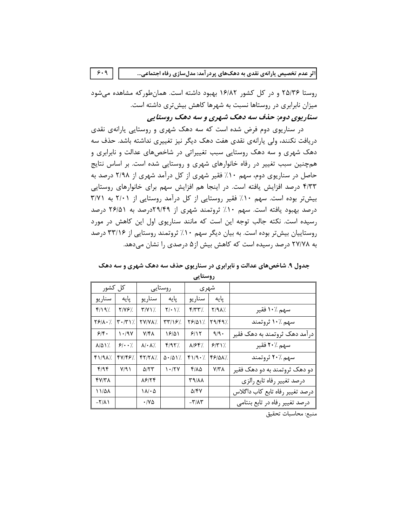روستا ۲۵/۳۶ و در کل کشور ۱۶/۸۲ بهبود داشته است. همانطورکه مشاهده میشود میزان نابرابری در روستاها نسبت به شهرها کاهش بیشتری داشته است. سناریوي دوم: حذف سه دهک شهري و سه دهک روستایي

در سناریوی دوم فرض شده است که سه دهک شهری و روستایی پارانهی نقدی دریافت نکنند، ولی پارانهی نقدی هفت دهک دیگر نیز تغییری نداشته باشد. حذف سه دهک شهری و سه دهک روستایی سبب تغییراتی در شاخصهای عدالت و نابرابری و همچنین سبب تغییر در رفاه خانوارهای شهری و روستایی شده است. بر اساس نتایج حاصل در سناریوی دوم، سهم ۱۰٪ فقیر شهری از کل درآمد شهری از ۲/۹۸ درصد به ۴/۳۳ درصد افزایش یافته است. در اینجا هم افزایش سهم برای خانوارهای روستایی بیشتر بوده است. سهم ۱۰٪ فقیر روستایی از کل درآمد روستایی از ۲/۰۱ به ۳/۷۱ درصد بهبود یافته است. سهم ۱۰٪ ثروتمند شهری از ۲۹/۴۹درصد به ۲۶/۵۱ درصد رسیده است. نکته جالب توجه این است که مانند سناریوی اول این کاهش در مورد روستاییان بیش تر بوده است. به بیان دیگر سهم ۱۰٪ ثروتمند روستایی از ۳۳/۱۶ درصد به ۲۷/۷۸ درصد رسیده است که کاهش بیش از۵ درصدی را نشان میدهد.

### جدول ۹. شاخصهای عدالت و نابرابری در سناریوی حذف سه دهک شهری و سه دهک روستائے۔

| کل کشور                        |                                 |                                  | روستایی                         | شهري                                   |         |                                 |
|--------------------------------|---------------------------------|----------------------------------|---------------------------------|----------------------------------------|---------|---------------------------------|
| سناريو                         | یایه                            | سناريو                           | یایه                            | سناريو                                 | يايه    |                                 |
| f/19/                          | Y/Y&%                           | $Y/Y$ \ $\lambda$ .              | $Y/\cdot$ )/.                   | $\mathcal{N}(\mathcal{X},\mathcal{Y})$ | ۷/۹۸٪   | سهم ۱۰٪ فقير                    |
| $Y$ $/(\lambda \cdot)$         | $\mathbf{Y} \cdot (\mathbf{Y})$ | <b>YY/YA/.</b>                   | <u>/ ۳۳/۱۶</u>                  | 781417.                                | 19/19%  | سهم ۱۰٪ ثروتمند                 |
| 98.                            | 1.41                            | ۷/۴۸                             | 19/01                           | 9/15                                   | $9/9$ . | درآمد دهک ثروتمند به دهک فقیر   |
| $\lambda/\Delta$ \ $\lambda$ . | $9!\cdot 7$                     | $\lambda$ / $\cdot$ $\lambda$ /. | F/97                            | /۸۱۶۴                                  | 5/5     | سهم ٪۲۰ فقير                    |
| $f1/9\lambda$                  | 47/48%                          | FT/TA7.                          | $\Delta$ - $\Delta$ ) $\lambda$ | f1/9.7                                 | FS/QA%  | سهم ٪۲۰ ثروتمند                 |
| f/9f                           | Y/9                             | $\Delta$ /۲۳                     | 1.77                            | ۴/۸۵                                   | Y/Y     | دو دهک ثروتمند به دو دهک فقیر   |
| fV/T                           |                                 | 88154                            |                                 | <b>AVIET</b>                           |         | درصد تغيير رفاه تابع رالزي      |
| ۱۱/۵۸                          |                                 | ۱۸/۰۵                            |                                 | 5/۴7                                   |         | درصد تغيير رفاه تابع كاب داگلاس |
| $-\frac{1}{\Lambda}$           |                                 | ۱۷۵۰                             |                                 | $-\tau/\lambda\tau$                    |         | درصد تغییر رفاه در تابع بنتامی  |

منبع: محاسبات تحقيق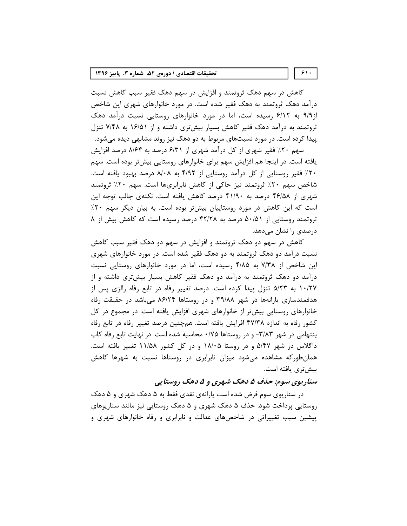#### تحقیقات اقتصادی / دورهی ۵۲، شماره ۳، پاییز ۱۳۹۶

کاهش در سهم دهک ثروتمند و افزایش در سهم دهک فقیر سبب کاهش نسبت درآمد دهک ثروتمند به دهک فقیر شده است. در مورد خانوارهای شهری این شاخص از۹/۹ به ۶/۱۲ رسیده است، اما در مورد خانوارهای روستایی نسبت درآمد دهک ثروتمند به درآمد دهک فقیر کاهش بسیار بیشتری داشته و از ۱۶/۵۱ به ۷/۴۸ تنزل پیدا کرده است. در مورد نسبتهای مربوط به دو دهک نیز روند مشابهی دیده میشود.

سهم ۲۰٪ فقیر شهری از کل درآمد شهری از ۶/۳۱ درصد به ۸/۶۴ درصد افزایش یافته است. در اینجا هم افزایش سهم برای خانوارهای روستایی بیش تر بوده است. سهم ۲۰٪ فقیر روستایی از کل درآمد روستایی از ۴/۹۲ به ۸/۰۸ درصد بهبود یافته است. شاخص سهم ۲۰٪ ثروتمند نیز حاکی از کاهش نابرابریها است. سهم ۲۰٪ ثروتمند شهری از ۴۶/۵۸ درصد به ۴۱/۹۰ درصد کاهش یافته است. نکتهی جالب توجه این است که این کاهش در مورد روستاییان بیشتر بوده است. به بیان دیگر سهم ۲۰٪ ثروتمند روستایی از ۵۰/۵۱ درصد به ۴۲/۲۸ درصد رسیده است که کاهش بیش از ۸ درصدی را نشان میدهد.

کاهش در سهم دو دهک ثروتمند و افزایش در سهم دو دهک فقیر سبب کاهش نسبت درآمد دو دهک ثروتمند به دو دهک فقیر شده است. در مورد خانوارهای شهری این شاخص از ۷/۳۸ به ۴/۸۵ رسیده است، اما در مورد خانوارهای روستایی نسبت درآمد دو دهک ثروتمند به درآمد دو دهک فقیر کاهش بسیار بیشتری داشته و از ۱۰/۲۷ به ۵/۲۳ تنزل پیدا کرده است. درصد تغییر رفاه در تابع رفاه رالزی پس از هدفمندسازی پارانهها در شهر ۳۹/۸۸ و در روستاها ۸۶/۲۴ می باشد در حقیقت رفاه خانوارهای روستایی بیشتر از خانوارهای شهری افزایش یافته است. در مجموع در کل کشور رفاه به اندازه ۴۷/۳۸ افزایش یافته است. همچنین درصد تغییر رفاه در تابع رفاه بنتهامی در شهر ۳/۸۳- و در روستاها ۰/۷۵ محاسبه شده است. در نهایت تابع رفاه کاب داگلاس در شهر ۵/۴۷ و در روستا ۱۸/۰۵ و در کل کشور ۱۱/۵۸ تغییر یافته است. همانطورکه مشاهده میشود میزان نابرابری در روستاها نسبت به شهرها کاهش بیشتری یافته است.

# سناریوي سوم: حذف ۵ دهک شهري و ۵ دهک روستايي

در سناریوی سوم فرض شده است یارانهی نقدی فقط به ۵ دهک شهری و ۵ دهک روستایی پرداخت شود. حذف ۵ دهک شهری و ۵ دهک روستایی نیز مانند سناریوهای پیشین سبب تغییراتی در شاخصهای عدالت و نابرابری و رفاه خانوارهای شهری و

 $5.1.$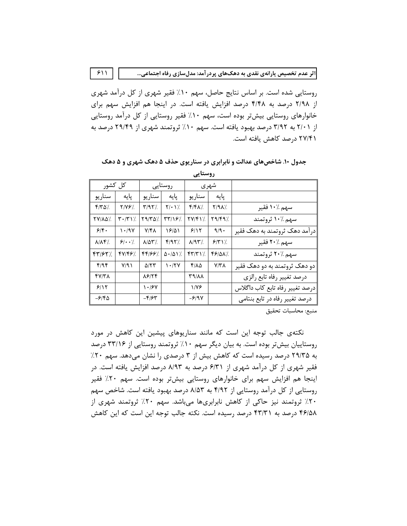روستایی شده است. بر اساس نتایج حاصل، سهم ۱۰٪ فقیر شهری از کل درآمد شهری از ۲/۹۸ درصد به ۴/۴۸ درصد افزایش یافته است. در اینجا هم افزایش سهم برای خانوارهای روستایی بیشتر بوده است، سهم ۱۰٪ فقیر روستایی از کل درآمد روستایی از ۲/۰۱ به ۳/۹۲ درصد بهبود یافته است. سهم ۱۰٪ ثروتمند شهری از ۲۹/۴۹ درصد به ۲۷/۴۱ درصد کاهش یافته است.

 $511$ 

| کل کشور                 |                                 |              | روستايى                            | شهري                      |        |                                 |
|-------------------------|---------------------------------|--------------|------------------------------------|---------------------------|--------|---------------------------------|
| سناريو                  | پایه                            | سناريو       | پایه                               | سنار يو                   | يايه   |                                 |
| $f/\mathcal{r}\Delta$ % | /۲/۷۶                           | Y/9Y/        | $Y/\cdot Y'$ .                     | /۴/۴۸                     | Y/9A   | سهم ۱۰٪ فقير                    |
| YV/AQ%                  | $\mathbf{Y} \cdot (\mathbf{Y})$ | ۷۹/۳۵٪       | /۳۳/۱۶                             | <b>TVIF17.</b>            | /۳۹/۴۹ | سهم ۱۰٪ ثروتمند                 |
| 98.                     | 1.44                            | ۷/۴۸         | ۱۶۱۵۱                              | 9/17                      | 9/9.   | در آمد دهک ثروتمند به دهک فقیر  |
| $\lambda/\lambda$ ۴%    | $9\cdot \cdot$                  | ۷۵۳٪         | f/97                               | $\lambda$ /9٣%            | 9/7    | سهم ۲۰٪ فقير                    |
| 47/67%                  | 47/46%                          | 44166%       | $\Delta$ - / $\Delta$ ) $\prime$ . | $\mathbf{y} = \mathbf{y}$ | 66/QX% | سهم ٪۲۰ ثروتمند                 |
| f/9f                    | Y/91                            | $\Delta$ /٢٣ | ۱۰/۲۷                              | 4180                      | Y/Y    | دو دهک ثروتمند به دو دهک فقیر   |
| ۴۷/۳۸                   |                                 | ۸۶۱۲۴        |                                    | ۸۸/۳۹                     |        | درصد تغيير رفاه تابع رالزى      |
| 9/15                    |                                 | ۱۰۱۶۷        |                                    | ۱٬۷۶                      |        | درصد تغيير رفاه تابع كاب داگلاس |
| -۶/۴۵                   |                                 | -4162        |                                    | -۶/۹۷                     |        | درصد تغيير رفاه در تابع بنتامى  |
|                         |                                 |              |                                    |                           |        |                                 |

جدول ۱۰. شاخصهای عدالت و نابرابری در سناریوی حذف ۵ دهک شهری و ۵ دهک

روستائے۔

منبع: محاسبات تحقيق

نکتهی جالب توجه این است که مانند سناریوهای پیشین این کاهش در مورد روستاییان بیش تر بوده است. به بیان دیگر سهم ۱۰٪ ثروتمند روستایی از ۳۳/۱۶ درصد به ۲۹/۳۵ درصد رسیده است که کاهش بیش از ۳ درصدی را نشان میدهد. سهم ۲۰٪ فقیر شهری از کل درآمد شهری از ۶/۳۱ درصد به ۸/۹۳ درصد افزایش یافته است. در اینجا هم افزایش سهم برای خانوارهای روستایی بیشتر بوده است. سهم ۲۰٪ فقیر روستایی از کل درآمد روستایی از ۴/۹۲ به ۸/۵۳ درصد بهبود یافته است. شاخص سهم ۲۰٪ ثروتمند نیز حاکی از کاهش نابرابریها میباشد. سهم ۲۰٪ ثروتمند شهری از ۴۶/۵۸ درصد به ۴۳/۳۱ درصد رسیده است. نکته جالب توجه این است که این کاهش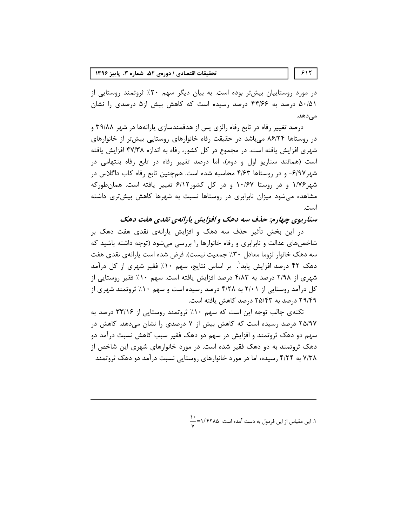تحقیقات اقتصادی / دورهی ۵۲، شماره ۳، پاییز ۱۳۹۶

در مورد روستاییان بیش تر بوده است. به بیان دیگر سهم ۲۰٪ ثروتمند روستایی از ۵۰/۵۱ درصد به ۴۴/۶۶ درصد رسیده است که کاهش بیش از۵ درصدی را نشان مىدھد.

درصد تغییر رفاه در تابع رفاه رالزی پس از هدفمندسازی پارانهها در شهر ۳۹/۸۸ و در روستاها ۸۶/۲۴ میباشد در حقیقت رفاه خانوارهای روستایی بیشتر از خانوارهای شهری افزایش یافته است. در مجموع در کل کشور، رفاه به اندازه ۴۷/۳۸ افزایش یافته است (همانند سناریو اول و دوم)، اما درصد تغییر رفاه در تابع رفاه بنتهامی در شهر ۶/۹۷- و در روستاها ۴/۶۳ محاسبه شده است. همچنین تابع رفاه کاب داگلاس در شهر۱/۷۶ و در روستا ۱۰/۶۷ و در کل کشور۶/۱۲ تغییر یافته است. همان طورکه مشاهده میشود میزان نابرابری در روستاها نسبت به شهرها کاهش بیشتری داشته است.

سناریوی چهارم: حذف سه دهک و افزایش پارانهی نقدی هفت دهک

در این بخش تأثیر حذف سه دهک و افزایش پارانهی نقدی هفت دهک بر شاخصهای عدالت و نابرابری و رفاه خانوارها را بررسی میشود (توجه داشته باشید که سه دهک خانوار لزوما معادل ٣٠٪ جمعیت نیست). فرض شده است یارانهی نقدی هفت دهک ۴۲ درصد افزایش یابد'. بر اساس نتایج، سهم ۱۰٪ فقیر شهری از کل درآمد شهری از ۲/۹۸ درصد به ۴/۸۳ درصد افزایش یافته است. سهم ۱۰٪ فقیر روستایی از کل درآمد روستایی از ۲/۰۱ به ۴/۲۸ درصد رسیده است و سهم ۱۰٪ ثروتمند شهری از ۲۹/۴۹ درصد به ۲۵/۴۳ درصد کاهش یافته است.

نکتهی جالب توجه این است که سهم ۱۰٪ ثروتمند روستایی از ۳۳/۱۶ درصد به ۲۵/۹۷ درصد رسیده است که کاهش بیش از ۷ درصدی را نشان میدهد. کاهش در سهم دو دهک ثروتمند و افزایش در سهم دو دهک فقیر سبب کاهش نسبت درآمد دو دهک ثروتمند به دو دهک فقیر شده است. در مورد خانوارهای شهری این شاخص از ۷/۳۸ به ۴/۲۴ رسیده، اما در مورد خانوارهای روستایی نسبت درآمد دو دهک ثروتمند

۱. این مقیاس از این فرمول به دست آمده است: ۱/۴۲۸۵=۱۰<del>۰</del>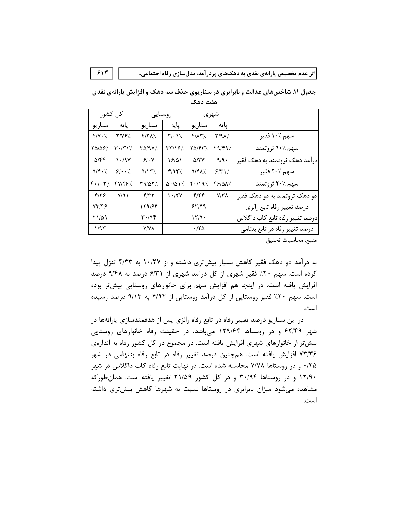| 515                          |                                                      |                    |                                   |                 |         | اثر عدم تخصیص یارانهی نقدی به دهکـهای پردرآمد: مدلسازی رفاه اجتماعی           |
|------------------------------|------------------------------------------------------|--------------------|-----------------------------------|-----------------|---------|-------------------------------------------------------------------------------|
|                              |                                                      |                    |                                   |                 |         |                                                                               |
|                              |                                                      |                    |                                   |                 |         | جدول ۱۱. شاخصهای عدالت و نابرابری در سناریوی حذف سه دهک و افزایش یارانهی نقدی |
|                              |                                                      |                    |                                   | هفت دهک         |         |                                                                               |
| كل كشور                      |                                                      | روستايى            |                                   | شهري            |         |                                                                               |
| سناريو                       | يايه                                                 | سناريو             | یایه                              | سناريو          | یایه    |                                                                               |
| $Y/Y \cdot 7$                | $Y/YY$ .                                             | Y/X                | $Y/\cdot Y'$                      | $Y/\lambda Y'.$ | Y/9A    | سهم ۱۰٪ فقير                                                                  |
| TQ108%                       | $\mathbf{Y} \cdot (\mathbf{Y} \setminus \mathbf{Z})$ | $Y\Delta$ /9 $Y$ / | /۲۳/۱۶                            | <b>٢۵/۴۳%</b>   | /۲۹/۴۹  | سهم ۱۰٪ ثروتمند                                                               |
| $\Delta$ /۴۴                 | 1.4Y                                                 | 9/1.7              | 19/21                             | 517 V           | $9/9$ . | درآمد دهک ثروتمند به دهک فقیر                                                 |
| $9/\sqrt{2}$ .               | $9\cdot \cdot$                                       | 9/15/              | Y/9Y'                             | 9/K             | 5/7     | سهم ۲۰٪ فقير                                                                  |
| $f \cdot / \cdot \mathbf{Y}$ | 47/48%                                               | <b>٣٩/٥٢/</b>      | $\Delta$ - $\Delta$ ) $\lambda$ . | F.197           | FFIQN/. | سهم ٪۲۰ ثروتمند                                                               |
| 8/19                         | Y/91                                                 | f/T                | 1.17Y                             | $f/\uparrow f$  | Y/Y     | دو دهک ثروتمند به دو دهک فقیر                                                 |
| YY'YY                        |                                                      | 129/84             |                                   | 55/89           |         | درصد تغيير رفاه تابع رالزي                                                    |
| <b>۲۱/۵۹</b>                 |                                                      | ۳۰/۹۴              |                                   | 17/9.           |         | درصد تغيير رفاه تابع كاب داگلاس                                               |
| 1/95                         |                                                      | <b>Y/YA</b>        |                                   | ۱۲۵.            |         | درصد تغییر رفاه در تابع بنتامی                                                |

**زایش یاران**هی نقدی

منبع: محاسبات تحقيق

به درامد دو دهک فقیر کاهش بسیار بیشتری داشته و از ۱۰/۲۷ به ۴/۳۳ تنزل پیدا گرده است. سهم ۲۰٪ فقیر شهری از کل درامد شهری از ۶/۳۱ درصد به ۹/۴۸ درصد افزایش یافته است. در اینجا هم افزایش سهم برای خانوارهای روستایی بیشتر بوده است. سهم ۲۰٪ فقیر روستایی از کل درامد روستایی از ۴/۹۲ به ۹/۱۳ درصد رسیده است.

در این سناریو درصد تغییر رفاه در تابع رفاه رالزی پس از هدفمندسازی پارانهها در شهر ۶۲/۴۹ و در روستاها ۱۲۹/۶۴ میباشد، در حقیقت رفاه خانوارهای روستایی بیش تر از خانوارهای شهری افزایش یافته است. در مجموع در کل کشور رفاه به اندازهی ۷۳/۳۶ افزایش یافته است. همچنین درصد تغییر رفاه در تابع رفاه بنتهامی در شهر 87: و در روستاها ۷/۷۸ محاسبه شده است. در نهایت تابع رفاه کاب داگلاس در شهر ۱۲/۹۰ و در روستاها ۳۰/۹۴ و در کل کشور ۲۱/۵۹ تغییر یافته است. همانطورکه مشاهده میشود میزان نابرابری در روستاها نسبت به شهرها کاهش بیشتری داشته است.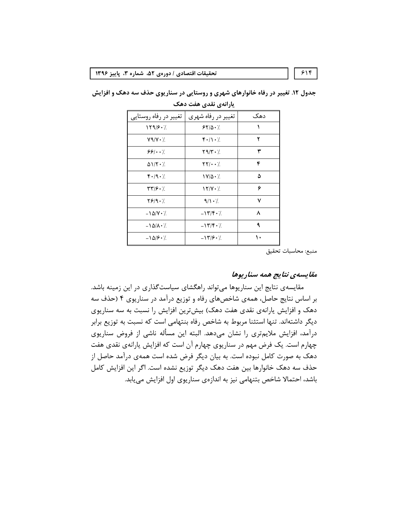تغییر در رفاه شهری | تغییر در رفاه روستایی دهک  $119/5.7$  $\lambda$  $5510.7$  $\bar{\mathbf{Y}}$  $Y \mathcal{A}/Y \cdot \gamma$  $f'/\rightarrow$  $551.7$  $Y \mathcal{A}/Y \cdot \gamma$ ٣  $\mathsf{YY}/\boldsymbol{\cdot}\boldsymbol{\cdot}/$  $\mathfrak{r}$  $\Delta V/\Upsilon \cdot \gamma$  $F - 19 - 7$  $1Y/\Delta \cdot \gamma$  $\pmb{\Delta}$  $\mathbf{y} = \mathbf{y}$ ۶  $17/Y \cdot 7$  $Y9/9.7$  $\mathsf{V}$  $9/1.7$  $-1\Delta/Y \cdot \gamma$  $-17/F.$  $\boldsymbol{\lambda}$  $\mathbf{A}$  $-\lambda \Delta/\lambda \cdot \lambda$  $-17/F.$  $\mathcal{N}$  $-\frac{\Delta}{r}$ .  $-17/8.7$ 

جدول ۱۲. تغییر در رفاه خانوارهای شهری و روستایی در سناریوی حذف سه دهک و افزایش یارانهی نقدی هفت دهک

منبع: محاسبات تحقيق

#### مقايسەي نتايج ھمە سناريوھا

مقایسهی نتایج این سناریوها میتواند راهگشای سیاستگذاری در این زمینه باشد. بر اساس نتایج حاصل، همهی شاخصهای رفاه و توزیع درآمد در سناریوی ۴ (حذف سه دهک و افزایش پارانهی نقدی هفت دهک) بیشترین افزایش را نسبت به سه سناریوی دیگر داشتهاند. تنها استثنا مربوط به شاخص رفاه بنتهامی است که نسبت به توزیع برابر درآمد، افزایش ملایمتری را نشان میدهد. البته این مسأله ناشی از فروض سناریوی چهارم است. یک فرض مهم در سناریوی چهارم آن است که افزایش پارانهی نقدی هفت دهک به صورت کامل نبوده است. به بیان دیگر فرض شده است همهی درآمد حاصل از حذف سه دهک خانوارها بین هفت دهک دیگر توزیع نشده است. اگر این افزایش کامل باشد، احتمالا شاخص بتنهامی نیز به اندازهی سناریوی اول افزایش می یابد.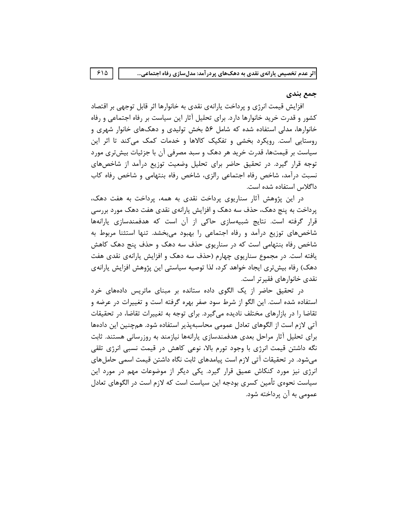#### جمع بندي

افزایش قیمت انرژی و پرداخت پارانهی نقدی به خانوارها اثر قابل توجهی بر اقتصاد کشور و قدرت خرید خانوارها دارد. برای تحلیل آثار این سیاست بر رفاه اجتماعی و رفاه خانوارها، مدلی استفاده شده که شامل ۵۶ بخش تولیدی و دهکهای خانوار شهری و روستایی است. رویکرد بخشی و تفکیک کالاها و خدمات کمک میکند تا اثر این سیاست بر قیمتها، قدرت خرید هر دهک و سبد مصرفی آن با جزئیات بیشتری مورد توجه قرار گیرد. در تحقیق حاضر برای تحلیل وضعیت توزیع درآمد از شاخصهای نسبت درآمد، شاخص رفاه اجتماعی رالزی، شاخص رفاه بنتهامی و شاخص رفاه کاب داگلاس استفاده شده است.

در این پژوهش آثار سناریوی پرداخت نقدی به همه، پرداخت به هفت دهک، پرداخت به پنج دهک، حذف سه دهک و افزایش پارانهی نقدی هفت دهک مورد بررسی قرار گرفته است. نتایج شبیهسازی حاکی از آن است که هدفمندسازی پارانهها شاخصهای توزیع درآمد و رفاه اجتماعی را بهبود میبخشد. تنها استثنا مربوط به شاخص رفاه بنتهامی است که در سناریوی حذف سه دهک و حذف پنج دهک کاهش یافته است. در مجموع سناریوی چهارم (حذف سه دهک و افزایش پارانهی نقدی هفت دهک) رفاه بیشتری ایجاد خواهد کرد، لذا توصیه سیاستی این پژوهش افزایش پارانهی نقدی خانوارهای فقیر تر است.

در تحقیق حاضر از یک الگوی داده ستانده بر مبنای ماتریس دادههای خرد استفاده شده است. این الگو از شرط سود صفر بهره گرفته است و تغییرات در عرضه و تقاضا را در بازارهای مختلف نادیده میگیرد. برای توجه به تغییرات تقاضا، در تحقیقات آتی لازم است از الگوهای تعادل عمومی محاسبهپذیر استفاده شود. همچنین این دادهها برای تحلیل آثار مراحل بعدی هدفمندسازی پارانهها نیازمند به روزرسانی هستند. ثابت نگه داشتن قیمت انرژی با وجود تورم بالا، نوعی کاهش در قیمت نسبی انرژی تلقی می شود. در تحقیقات آتی لازم است پیامدهای ثابت نگاه داشتن قیمت اسمی حامل های انرژی نیز مورد کنکاش عمیق قرار گیرد. یکی دیگر از موضوعات مهم در مورد این سیاست نحوهی تأمین کسری بودجه این سیاست است که لازم است در الگوهای تعادل عمومی به آن پرداخته شود.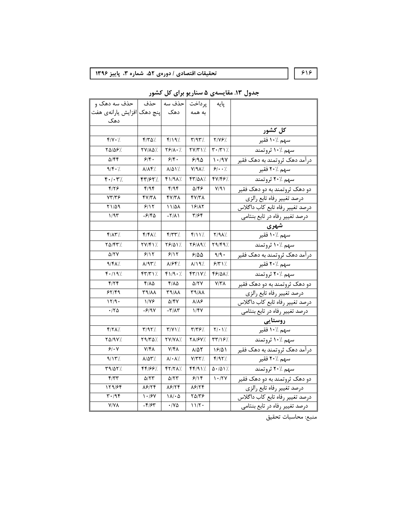## ۶۱۶ | | تحقيقات اقتصادی / دورەی ۵۲، شماره ۳، پاييز ۱۳۹۶ |  $\epsilon$

| تحقيقات اقتصادي / دورەي ۵۲، شماره ۳، پاييز ۱۳۹۶                                              |                             |                           |                             |                                                | ۶۱۶                                    |
|----------------------------------------------------------------------------------------------|-----------------------------|---------------------------|-----------------------------|------------------------------------------------|----------------------------------------|
|                                                                                              |                             |                           |                             |                                                |                                        |
|                                                                                              |                             |                           |                             |                                                | جدول ۱۳. مقایسهی ۵ سناریو برای کل کشور |
| پایه  پرداخت  حذف سه   حذف   حذف سه دهک و<br> پایه  په همه   دهک  پنج دهک افزایش یارانهی هفت |                             |                           |                             |                                                |                                        |
|                                                                                              |                             |                           |                             |                                                |                                        |
| دهک                                                                                          |                             |                           |                             |                                                |                                        |
|                                                                                              |                             |                           |                             |                                                | کل کشور                                |
| $f/Y \cdot \gamma$                                                                           | /۳۵٪                        | f/19                      | $Y/9Y'$ .                   | $Y/Y$ ۶/                                       | سهم ۱۰/ فقير                           |
| 85/56٪                                                                                       | YV/AQ%                      | 78/1.V                    | YY/YY                       | $\mathbf{r} \cdot \mathbf{r} \cdot \mathbf{r}$ | سهم ۱۰٪ ثروتمند                        |
| ۵/۴۴                                                                                         | 98.                         | 9/5.                      | 910                         | 1.9V                                           | درآمد دهک ثروتمند به دهک فقیر          |
| 9/F.7                                                                                        | ۷/۷۴٪                       | 815 Y.                    | Y/9A                        | 9/4.7                                          | سهم ۲۰٪ فقير                           |
| $F \cdot / \cdot T'$                                                                         | ۴۳/۶۲%                      | f1/9A                     | <b>FT/QA7.</b>              | 47/48%                                         | سهم ٪۲۰ ثروتمند                        |
| ۴۱۲۶                                                                                         | ۴/۹۴                        | f/9f                      | $\Delta$ /۴۶                | Y/91                                           | دو دهک ثروتمند به دو دهک فقیر          |
| 73148                                                                                        | ۴۷/۳۸                       | 47/۳۸                     | ۴۷/۳۸                       |                                                | درصد تغيير رفاه تابع رالزي             |
| ۲۱/۵۹                                                                                        | 8/15                        | 11/41                     | 18/17                       |                                                | درصد تغيير رفاه تابع كاب داگلاس        |
| ۱/۹۳                                                                                         | -۶/۴۵                       | $-\Upsilon/\Lambda$       | ۳/۶۴                        |                                                | درصد تغییر رفاه در تابع بنتام <u>ی</u> |
|                                                                                              |                             |                           |                             |                                                |                                        |
| $f/\lambda \Upsilon'$ .                                                                      | $f/f\Lambda$ /              | $f/\gamma\gamma'$         | $f/\mathcal{N}/\mathcal{N}$ | Y/9A                                           | شهری<br>سهم ۱۰٪ فقیر                   |
| /۲۵/۴۳                                                                                       | 77/417.                     | 78/01%                    | 78/19%                      | $Y9/F9$ %                                      | سهم ۱۰/ ثروتمند                        |
| <b>A/TY</b>                                                                                  | 8/15                        | 5/17                      | ۶۱۵۵                        | $9/9$ .                                        | درآمد دهک ثروتمند به دهک فقیر          |
| 9/48%                                                                                        | ۷۹۳/                        | 1⁄۶۴.                     | ۸/۱۹/.                      | 9/7                                            | سهم ۲۰٪ فقیر                           |
| $f \cdot \frac{1}{2}$                                                                        | $FT/T$ \ $\%$               | f1/9.7                    | FT/1Y/.                     | 66/QX%                                         | سهم ۲۰٪ ثروتمند                        |
| Y/YY                                                                                         | ۴/۸۵                        | $Y/\lambda\Delta$         | $\Delta/YY$                 | Y/Y                                            | دو دهک تروتمند به دو دهک فقیر          |
| ۶۲/۴۹                                                                                        | 89/11                       | <b>٣٩/٨٨</b>              | <b>٣٩/٨٨</b>                |                                                | درصد تغيير رفاه تابع رالزي             |
| 17/9                                                                                         | ۱/۷۶                        | $\Delta$ /۴۷              | ۸۱۸۶                        |                                                | درصد تغيير رفاه تابع كاب داگلاس        |
| .70                                                                                          | -۶/۹۷                       | $-\tau/\lambda\tau$       | ۱/۴۷                        |                                                | درصد تغيير رفاه در تابع بنتامي         |
|                                                                                              |                             |                           |                             |                                                | روستايى                                |
| $f/\gamma\lambda$                                                                            | Y/9Y/                       | $Y/YY$ .                  | $\mathbf{r}/\mathbf{r}$     | $Y/\cdot Y'$ .                                 | سهم ۱۰٪ فقير                           |
| <b>YA/9V/.</b>                                                                               | Y9/YQ                       | YY/YA/                    | <b>TA/۶V/.</b>              | /۲۳/۱۶                                         | سهم ۱۰٪ ثروتمند                        |
| 9/1                                                                                          | $Y/\mathfrak{f}\Lambda$     | $Y/\mathfrak{f}\lambda$   | $\Lambda/\Delta\Upsilon$    | 18/01                                          | درآمد دهک ثروتمند به دهک فقیر          |
| $9/15$ %                                                                                     | $\lambda/\Delta\Upsilon$ /. | $\lambda/\cdot\lambda'.$  | $Y/YY$ /.                   | $f/97$ %                                       | سهم ۲۰٪ فقیر                           |
| Y9/AY                                                                                        | 44199%                      | 47/71/                    | FF/91                       | $\Delta$ - $/\Delta$ ) $\frac{1}{\sqrt{2}}$    | سهم ۲۰/ ثروتمند                        |
| f/TT                                                                                         | $\Delta/\Upsilon\Upsilon$   | $\Delta/\Upsilon\Upsilon$ | 9/19                        | $1 - XYY$                                      | دو دهک ثروتمند به دو دهک فقیر          |
| 179/84                                                                                       | $\lambda$ ۶/۲۴              | 18/74                     | 18/74                       |                                                | درصد تغيير رفاه تابع رالزي             |
| ۳۰/۹۴                                                                                        | 1.18Y                       | 11/6                      | ۲۵/۳۶                       |                                                | درصد تغيير رفاه تابع كاب داگلاس        |
| <b>Y/YA</b>                                                                                  | $-\mathbf{f}/\mathbf{f}$    | $\cdot$ / Y $\Delta$      | 11/7                        |                                                | درصد تغییر رفاه در تابع بنتامی         |

منبع: محاسبات تحقيق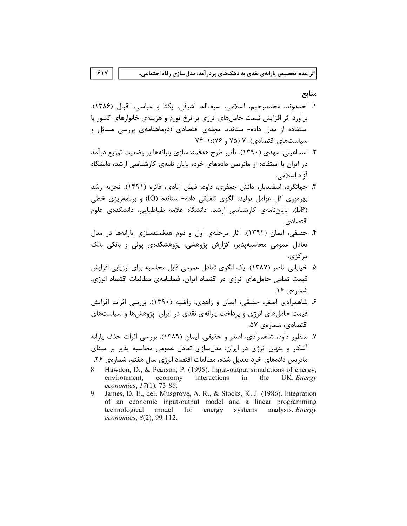#### منابع

١. احمدوند، محمدرحيم، اسلامي، سيفاله، اشرفي، يكتا و عباسي، اقبال (١٣٨۶). برآورد اثر افزایش قیمت حاملهای انرژی بر نرخ تورم و هزینهی خانوارهای کشور با استفاده از مدل داده- ستانده. مجلهی اقتصادی (دوماهنامهی بررسی مسائل و سیاستهای اقتصادی)، ۷ (۷۵ و ۷۶): ۱-۷۴

 $51Y$ 

- ۲. اسماعیلی، مهدی (۱۳۹۰). تأثیر طرح هدفمندسازی یارانهها بر وضعیت توزیع درآمد در ایران با استفاده از ماتریس دادههای خرد، پایان نامهی کارشناسی ارشد، دانشگاه آ;اد اسلامی.
- ۳. جهانگرد، اسفندیار، دانش جعفری، داود، فیض آبادی، فائزه (۱۳۹۱). تجزیه رشد بهرهوري كل عوامل توليد: الگوي تلفيقي داده- ستانده (IO) و برنامهريزي خطي (LP)، پایاننامهی کارشناسی ارشد، دانشگاه علامه طباطبایی، دانشکدهی علوم اقتصادي.
- ۴. حقیقی، ایمان (۱۳۹۲). آثار مرحلهی اول و دوم هدفمندسازی پارانهها در مدل تعادل عمومی محاسبهپذیر، گزارش پژوهشی، پژوهشکدهی پولی و بانکی بانک مر کز ی.
- ۵. خیابانی، ناصر (۱۳۸۷). یک الگوی تعادل عمومی قابل محاسبه برای ارزیابی افزایش قیمت تمامی حاملهای انرژی در اقتصاد ایران، فصلنامهی مطالعات اقتصاد انرژی، شمارهي ١۶.
- ۶. شاهمرادی اصغر، حقیقی، ایمان و زاهدی، راضیه (۱۳۹۰). بررسی اثرات افزایش قیمت حاملهای انرژی و پرداخت پارانهی نقدی در ایران، پژوهشها و سیاستهای اقتصادی، شمار ەی ۵۷.
- ۷. منظور داود، شاهمرادی، اصغر و حقیقی، ایمان (۱۳۸۹). بررسی اثرات حذف پارانه آشکار و پنهان انرژی در ایران: مدلسازی تعادل عمومی محاسبه پذیر بر مبنای
- ماتریس دادههای خرد تعدیل شده، مطالعات اقتصاد انرژی سال هفتم، شمارهی ۲۶.
- 8. Hawdon, D., & Pearson, P. (1995). Input-output simulations of energy, environment, economy interactions in the UK. Energy economics,  $17(1)$ , 73-86.
- $9<sub>1</sub>$ James, D. E., deL Musgrove, A. R., & Stocks, K. J. (1986). Integration of an economic input-output model and a linear programming technological for model energy systems analysis. *Energy* economics, 8(2), 99-112.